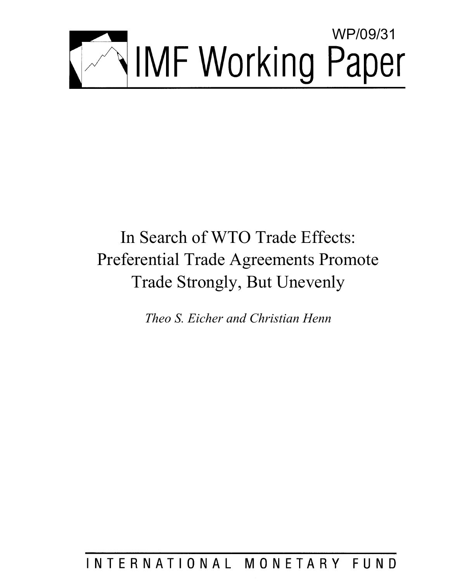

# In Search of WTO Trade Effects: Preferential Trade Agreements Promote Trade Strongly, But Unevenly

*Theo S. Eicher and Christian Henn* 

## INTERNATIONAL MONETARY FUND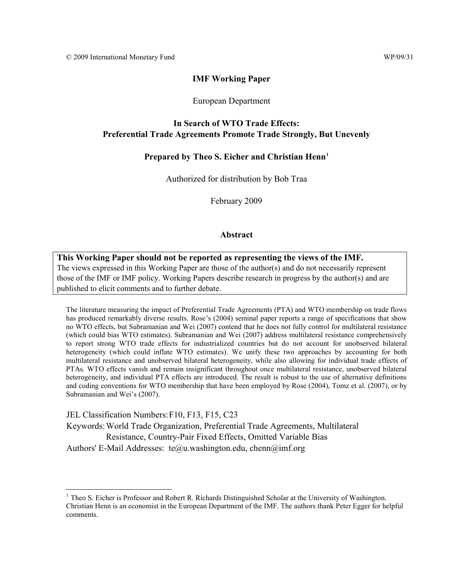$\overline{a}$ 

#### **IMF Working Paper**

#### European Department

#### **In Search of WTO Trade Effects: Preferential Trade Agreements Promote Trade Strongly, But Unevenly**

#### **Prepared by Theo S. Eicher and Christian Henn[1](#page-2-0)**

Authorized for distribution by Bob Traa

February 2009

#### **Abstract**

#### **This Working Paper should not be reported as representing the views of the IMF.** The views expressed in this Working Paper are those of the author(s) and do not necessarily represent those of the IMF or IMF policy. Working Papers describe research in progress by the author(s) and are published to elicit comments and to further debate.

The literature measuring the impact of Preferential Trade Agreements (PTA) and WTO membership on trade flows has produced remarkably diverse results. Rose's (2004) seminal paper reports a range of specifications that show no WTO effects, but Subramanian and Wei (2007) contend that he does not fully control for multilateral resistance (which could bias WTO estimates). Subramanian and Wei (2007) address multilateral resistance comprehensively to report strong WTO trade effects for industrialized countries but do not account for unobserved bilateral heterogeneity (which could inflate WTO estimates). We unify these two approaches by accounting for both multilateral resistance and unobserved bilateral heterogeneity, while also allowing for individual trade effects of PTAs. WTO effects vanish and remain insignificant throughout once multilateral resistance, unobserved bilateral heterogeneity, and individual PTA effects are introduced. The result is robust to the use of alternative definitions and coding conventions for WTO membership that have been employed by Rose (2004), Tomz et al. (2007), or by Subramanian and Wei's (2007).

JEL Classification Numbers: F10, F13, F15, C23 Keywords: World Trade Organization, Preferential Trade Agreements, Multilateral Resistance, Country-Pair Fixed Effects, Omitted Variable Bias Authors' E-Mail Addresses: te@u.washington.edu, chenn@imf.org

<span id="page-2-0"></span><sup>&</sup>lt;sup>1</sup> Theo S. Eicher is Professor and Robert R. Richards Distinguished Scholar at the University of Washington. Christian Henn is an economist in the European Department of the IMF. The authors thank Peter Egger for helpful comments.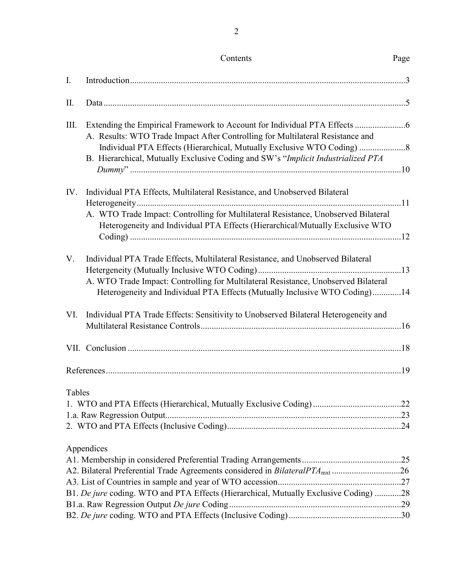| I.     |                                                                                                                                                                                                                                                     |  |
|--------|-----------------------------------------------------------------------------------------------------------------------------------------------------------------------------------------------------------------------------------------------------|--|
| П.     |                                                                                                                                                                                                                                                     |  |
| Ш.     | A. Results: WTO Trade Impact After Controlling for Multilateral Resistance and<br>B. Hierarchical, Mutually Exclusive Coding and SW's "Implicit Industrialized PTA                                                                                  |  |
| IV.    | Individual PTA Effects, Multilateral Resistance, and Unobserved Bilateral<br>A. WTO Trade Impact: Controlling for Multilateral Resistance, Unobserved Bilateral<br>Heterogeneity and Individual PTA Effects (Hierarchical/Mutually Exclusive WTO    |  |
| V.     | Individual PTA Trade Effects, Multilateral Resistance, and Unobserved Bilateral<br>A. WTO Trade Impact: Controlling for Multilateral Resistance, Unobserved Bilateral<br>Heterogeneity and Individual PTA Effects (Mutually Inclusive WTO Coding)14 |  |
| VI.    | Individual PTA Trade Effects: Sensitivity to Unobserved Bilateral Heterogeneity and                                                                                                                                                                 |  |
|        |                                                                                                                                                                                                                                                     |  |
|        |                                                                                                                                                                                                                                                     |  |
| Tables |                                                                                                                                                                                                                                                     |  |
|        | Appendices<br>A2. Bilateral Preferential Trade Agreements considered in BilateralPTA <sub>mxt</sub> 26<br>B1. De jure coding. WTO and PTA Effects (Hierarchical, Mutually Exclusive Coding) 28                                                      |  |

Contents Page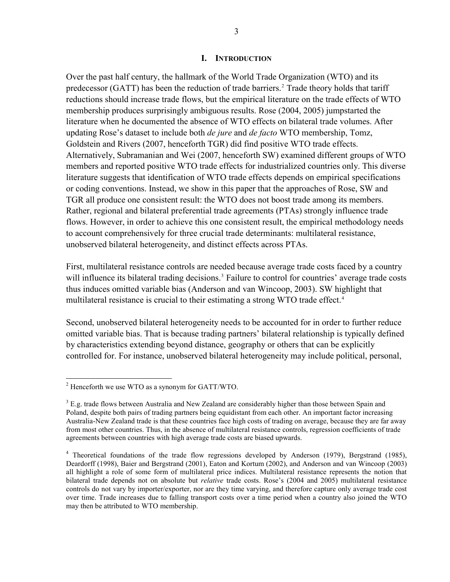#### **I. INTRODUCTION**

Over the past half century, the hallmark of the World Trade Organization (WTO) and its predecessor (GATT) has been the reduction of trade barriers.<sup>[2](#page-4-0)</sup> Trade theory holds that tariff reductions should increase trade flows, but the empirical literature on the trade effects of WTO membership produces surprisingly ambiguous results. Rose (2004, 2005) jumpstarted the literature when he documented the absence of WTO effects on bilateral trade volumes. After updating Rose's dataset to include both *de jure* and *de facto* WTO membership, Tomz, Goldstein and Rivers (2007, henceforth TGR) did find positive WTO trade effects. Alternatively, Subramanian and Wei (2007, henceforth SW) examined different groups of WTO members and reported positive WTO trade effects for industrialized countries only. This diverse literature suggests that identification of WTO trade effects depends on empirical specifications or coding conventions. Instead, we show in this paper that the approaches of Rose, SW and TGR all produce one consistent result: the WTO does not boost trade among its members. Rather, regional and bilateral preferential trade agreements (PTAs) strongly influence trade flows. However, in order to achieve this one consistent result, the empirical methodology needs to account comprehensively for three crucial trade determinants: multilateral resistance, unobserved bilateral heterogeneity, and distinct effects across PTAs.

First, multilateral resistance controls are needed because average trade costs faced by a country will influence its bilateral trading decisions.<sup>[3](#page-4-1)</sup> Failure to control for countries' average trade costs thus induces omitted variable bias (Anderson and van Wincoop, 2003). SW highlight that multilateral resistance is crucial to their estimating a strong WTO trade effect.<sup>[4](#page-4-2)</sup>

Second, unobserved bilateral heterogeneity needs to be accounted for in order to further reduce omitted variable bias. That is because trading partners' bilateral relationship is typically defined by characteristics extending beyond distance, geography or others that can be explicitly controlled for. For instance, unobserved bilateral heterogeneity may include political, personal,

1

<span id="page-4-0"></span> $2$  Henceforth we use WTO as a synonym for GATT/WTO.

<span id="page-4-1"></span> $3$  E.g. trade flows between Australia and New Zealand are considerably higher than those between Spain and Poland, despite both pairs of trading partners being equidistant from each other. An important factor increasing Australia-New Zealand trade is that these countries face high costs of trading on average, because they are far away from most other countries. Thus, in the absence of multilateral resistance controls, regression coefficients of trade agreements between countries with high average trade costs are biased upwards.

<span id="page-4-2"></span><sup>&</sup>lt;sup>4</sup> Theoretical foundations of the trade flow regressions developed by Anderson (1979), Bergstrand (1985), Deardorff (1998), Baier and Bergstrand (2001), Eaton and Kortum (2002), and Anderson and van Wincoop (2003) all highlight a role of some form of multilateral price indices. Multilateral resistance represents the notion that bilateral trade depends not on absolute but *relative* trade costs. Rose's (2004 and 2005) multilateral resistance controls do not vary by importer/exporter, nor are they time varying, and therefore capture only average trade cost over time. Trade increases due to falling transport costs over a time period when a country also joined the WTO may then be attributed to WTO membership.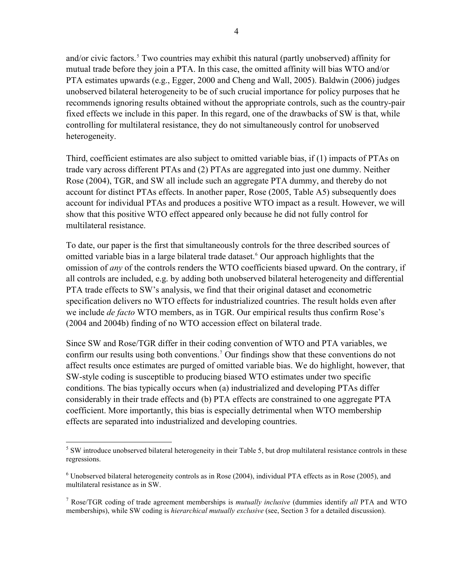and/or civic factors.<sup>[5](#page-5-0)</sup> Two countries may exhibit this natural (partly unobserved) affinity for mutual trade before they join a PTA. In this case, the omitted affinity will bias WTO and/or PTA estimates upwards (e.g., Egger, 2000 and Cheng and Wall, 2005). Baldwin (2006) judges unobserved bilateral heterogeneity to be of such crucial importance for policy purposes that he recommends ignoring results obtained without the appropriate controls, such as the country-pair fixed effects we include in this paper. In this regard, one of the drawbacks of SW is that, while controlling for multilateral resistance, they do not simultaneously control for unobserved heterogeneity.

Third, coefficient estimates are also subject to omitted variable bias, if (1) impacts of PTAs on trade vary across different PTAs and (2) PTAs are aggregated into just one dummy. Neither Rose (2004), TGR, and SW all include such an aggregate PTA dummy, and thereby do not account for distinct PTAs effects. In another paper, Rose (2005, Table A5) subsequently does account for individual PTAs and produces a positive WTO impact as a result. However, we will show that this positive WTO effect appeared only because he did not fully control for multilateral resistance.

To date, our paper is the first that simultaneously controls for the three described sources of omitted variable bias in a large bilateral trade dataset.<sup>[6](#page-5-1)</sup> Our approach highlights that the omission of *any* of the controls renders the WTO coefficients biased upward. On the contrary, if all controls are included, e.g. by adding both unobserved bilateral heterogeneity and differential PTA trade effects to SW's analysis, we find that their original dataset and econometric specification delivers no WTO effects for industrialized countries. The result holds even after we include *de facto* WTO members, as in TGR. Our empirical results thus confirm Rose's (2004 and 2004b) finding of no WTO accession effect on bilateral trade.

Since SW and Rose/TGR differ in their coding convention of WTO and PTA variables, we confirm our results using both conventions.[7](#page-5-2) Our findings show that these conventions do not affect results once estimates are purged of omitted variable bias. We do highlight, however, that SW-style coding is susceptible to producing biased WTO estimates under two specific conditions. The bias typically occurs when (a) industrialized and developing PTAs differ considerably in their trade effects and (b) PTA effects are constrained to one aggregate PTA coefficient. More importantly, this bias is especially detrimental when WTO membership effects are separated into industrialized and developing countries.

<span id="page-5-0"></span><sup>1</sup>  $5$  SW introduce unobserved bilateral heterogeneity in their Table 5, but drop multilateral resistance controls in these regressions.

<span id="page-5-1"></span> $6$  Unobserved bilateral heterogeneity controls as in Rose (2004), individual PTA effects as in Rose (2005), and multilateral resistance as in SW.

<span id="page-5-2"></span><sup>7</sup> Rose/TGR coding of trade agreement memberships is *mutually inclusive* (dummies identify *all* PTA and WTO memberships), while SW coding is *hierarchical mutually exclusive* (see, Section 3 for a detailed discussion).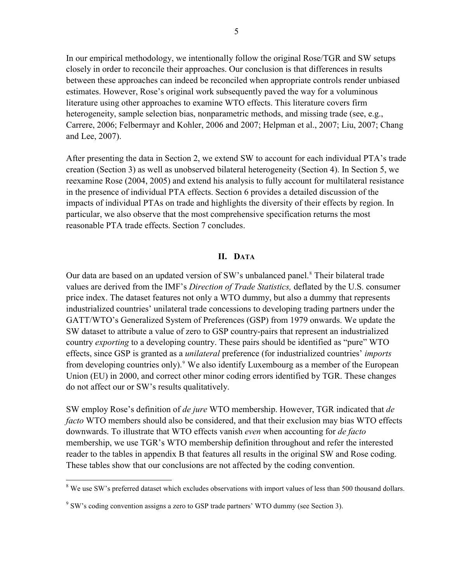In our empirical methodology, we intentionally follow the original Rose/TGR and SW setups closely in order to reconcile their approaches. Our conclusion is that differences in results between these approaches can indeed be reconciled when appropriate controls render unbiased estimates. However, Rose's original work subsequently paved the way for a voluminous literature using other approaches to examine WTO effects. This literature covers firm heterogeneity, sample selection bias, nonparametric methods, and missing trade (see, e.g., Carrere, 2006; Felbermayr and Kohler, 2006 and 2007; Helpman et al., 2007; Liu, 2007; Chang and Lee, 2007).

After presenting the data in Section 2, we extend SW to account for each individual PTA's trade creation (Section 3) as well as unobserved bilateral heterogeneity (Section 4). In Section 5, we reexamine Rose (2004, 2005) and extend his analysis to fully account for multilateral resistance in the presence of individual PTA effects. Section 6 provides a detailed discussion of the impacts of individual PTAs on trade and highlights the diversity of their effects by region. In particular, we also observe that the most comprehensive specification returns the most reasonable PTA trade effects. Section 7 concludes.

#### **II. DATA**

Our data are based on an updated version of SW's unbalanced panel.<sup>[8](#page-6-0)</sup> Their bilateral trade values are derived from the IMF's *Direction of Trade Statistics,* deflated by the U.S. consumer price index. The dataset features not only a WTO dummy, but also a dummy that represents industrialized countries' unilateral trade concessions to developing trading partners under the GATT/WTO's Generalized System of Preferences (GSP) from 1979 onwards. We update the SW dataset to attribute a value of zero to GSP country-pairs that represent an industrialized country *exporting* to a developing country. These pairs should be identified as "pure" WTO effects, since GSP is granted as a *unilateral* preference (for industrialized countries' *imports* from developing countries only).<sup>[9](#page-6-1)</sup> We also identify Luxembourg as a member of the European Union (EU) in 2000, and correct other minor coding errors identified by TGR. These changes do not affect our or SW's results qualitatively.

SW employ Rose's definition of *de jure* WTO membership. However, TGR indicated that *de facto* WTO members should also be considered, and that their exclusion may bias WTO effects downwards. To illustrate that WTO effects vanish *even* when accounting for *de facto* membership, we use TGR's WTO membership definition throughout and refer the interested reader to the tables in appendix B that features all results in the original SW and Rose coding. These tables show that our conclusions are not affected by the coding convention.

<span id="page-6-0"></span><sup>&</sup>lt;sup>8</sup> We use SW's preferred dataset which excludes observations with import values of less than 500 thousand dollars.

<span id="page-6-1"></span><sup>&</sup>lt;sup>9</sup> SW's coding convention assigns a zero to GSP trade partners' WTO dummy (see Section 3).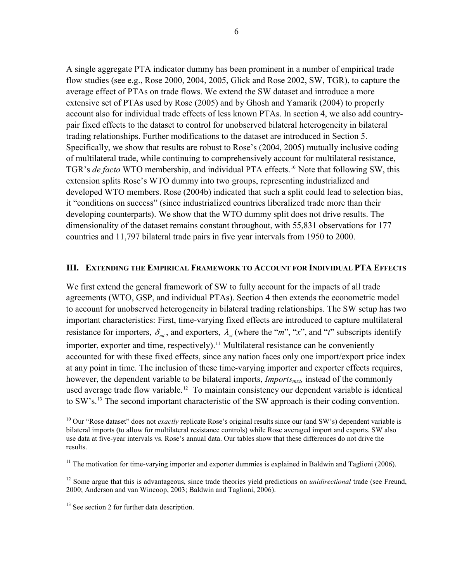A single aggregate PTA indicator dummy has been prominent in a number of empirical trade flow studies (see e.g., Rose 2000, 2004, 2005, Glick and Rose 2002, SW, TGR), to capture the average effect of PTAs on trade flows. We extend the SW dataset and introduce a more extensive set of PTAs used by Rose (2005) and by Ghosh and Yamarik (2004) to properly account also for individual trade effects of less known PTAs. In section 4, we also add countrypair fixed effects to the dataset to control for unobserved bilateral heterogeneity in bilateral trading relationships. Further modifications to the dataset are introduced in Section 5. Specifically, we show that results are robust to Rose's (2004, 2005) mutually inclusive coding of multilateral trade, while continuing to comprehensively account for multilateral resistance, TGR's *de facto* WTO membership, and individual PTA effects.<sup>[10](#page-7-0)</sup> Note that following SW, this extension splits Rose's WTO dummy into two groups, representing industrialized and developed WTO members. Rose (2004b) indicated that such a split could lead to selection bias, it "conditions on success" (since industrialized countries liberalized trade more than their developing counterparts). We show that the WTO dummy split does not drive results. The dimensionality of the dataset remains constant throughout, with 55,831 observations for 177 countries and 11,797 bilateral trade pairs in five year intervals from 1950 to 2000.

#### **III. EXTENDING THE EMPIRICAL FRAMEWORK TO ACCOUNT FOR INDIVIDUAL PTA EFFECTS**

We first extend the general framework of SW to fully account for the impacts of all trade agreements (WTO, GSP, and individual PTAs). Section 4 then extends the econometric model to account for unobserved heterogeneity in bilateral trading relationships. The SW setup has two important characteristics: First, time-varying fixed effects are introduced to capture multilateral resistance for importers,  $\delta_{mt}$ , and exporters,  $\lambda_{rt}$  (where the "*m*", "*x*", and "*t*" subscripts identify importer, exporter and time, respectively).<sup>[11](#page-7-1)</sup> Multilateral resistance can be conveniently accounted for with these fixed effects, since any nation faces only one import/export price index at any point in time. The inclusion of these time-varying importer and exporter effects requires, however, the dependent variable to be bilateral imports, *Imports<sub>mxt</sub>*, instead of the commonly used average trade flow variable.<sup>[12](#page-7-2)</sup> To maintain consistency our dependent variable is identical to SW's.<sup>13</sup> The second important characteristic of the SW approach is their coding convention.

1

<span id="page-7-0"></span><sup>&</sup>lt;sup>10</sup> Our "Rose dataset" does not *exactly* replicate Rose's original results since our (and SW's) dependent variable is bilateral imports (to allow for multilateral resistance controls) while Rose averaged import and exports. SW also use data at five-year intervals vs. Rose's annual data. Our tables show that these differences do not drive the results.

<span id="page-7-1"></span><sup>&</sup>lt;sup>11</sup> The motivation for time-varying importer and exporter dummies is explained in Baldwin and Taglioni (2006).

<span id="page-7-2"></span><sup>&</sup>lt;sup>12</sup> Some argue that this is advantageous, since trade theories yield predictions on *unidirectional* trade (see Freund, 2000; Anderson and van Wincoop, 2003; Baldwin and Taglioni, 2006).

<span id="page-7-3"></span><sup>&</sup>lt;sup>13</sup> See section 2 for further data description.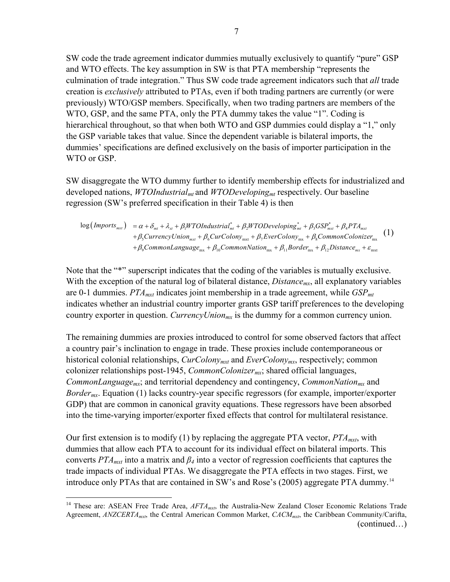SW code the trade agreement indicator dummies mutually exclusively to quantify "pure" GSP and WTO effects. The key assumption in SW is that PTA membership "represents the culmination of trade integration." Thus SW code trade agreement indicators such that *all* trade creation is *exclusively* attributed to PTAs, even if both trading partners are currently (or were previously) WTO/GSP members. Specifically, when two trading partners are members of the WTO, GSP, and the same PTA, only the PTA dummy takes the value "1". Coding is hierarchical throughout, so that when both WTO and GSP dummies could display a "1," only the GSP variable takes that value. Since the dependent variable is bilateral imports, the dummies' specifications are defined exclusively on the basis of importer participation in the WTO or GSP.

SW disaggregate the WTO dummy further to identify membership effects for industrialized and developed nations, *WTOIndustrialmt* and *WTODevelopingmt* respectively. Our baseline regression (SW's preferred specification in their Table 4) is then

 $\log (Imports_{mxt}) = \alpha + \delta_{mt} + \lambda_{xt} + \beta_1 WTOIndustrial_{mt}^* + \beta_2 WTODeveloping_{mt}^* + \beta_3 GSP_{mxt}^* + \beta_4 PTA_{mxt}$  $+\beta_{\rm s}$ CurrencyUnion<sub>mxt</sub> +  $\beta_{\rm s}$ CurColony<sub>mxt</sub> +  $\beta_{\rm 7}$ EverColony<sub>mx</sub> +  $\beta_{\rm s}$ CommonColonizer<sub>mx</sub>  $+\beta_9 CommonLanguage_{\rm mx} + \beta_{10} Common Nation_{\rm mx} + \beta_{11} Border_{\rm mx} + \beta_{12} Distance_{\rm mx} + \varepsilon_{\rm mx}$ (1)

Note that the "\*" superscript indicates that the coding of the variables is mutually exclusive. With the exception of the natural log of bilateral distance, *Distance<sub>mx*</sub>, all explanatory variables are 0-1 dummies. *PTAmxt* indicates joint membership in a trade agreement, while *GSPmt* indicates whether an industrial country importer grants GSP tariff preferences to the developing country exporter in question. *CurrencyUnion<sub>mx</sub>* is the dummy for a common currency union.

The remaining dummies are proxies introduced to control for some observed factors that affect a country pair's inclination to engage in trade. These proxies include contemporaneous or historical colonial relationships, *CurColony<sub>mxt</sub>* and *EverColony<sub>mx</sub>*, respectively; common colonizer relationships post-1945, *CommonColonizermx*; shared official languages, *CommonLanguage<sub>mx</sub>*; and territorial dependency and contingency, *CommonNation<sub>mx</sub>* and *Bordermx*. Equation (1) lacks country-year specific regressors (for example, importer/exporter GDP) that are common in canonical gravity equations. These regressors have been absorbed into the time-varying importer/exporter fixed effects that control for multilateral resistance.

Our first extension is to modify (1) by replacing the aggregate PTA vector,  $PTA_{mxt}$ , with dummies that allow each PTA to account for its individual effect on bilateral imports. This converts  $PTA_{mxt}$  into a matrix and  $\beta_4$  into a vector of regression coefficients that captures the trade impacts of individual PTAs. We disaggregate the PTA effects in two stages. First, we introduce only PTAs that are contained in SW's and Rose's (2005) aggregate PTA dummy.[14](#page-8-0)

<u>.</u>

<span id="page-8-0"></span><sup>(</sup>continued…) <sup>14</sup> These are: ASEAN Free Trade Area, *AFTA<sub>mxt*</sub>, the Australia-New Zealand Closer Economic Relations Trade Agreement, *ANZCERTAmxt*, the Central American Common Market, *CACMmxt*, the Caribbean Community/Carifta,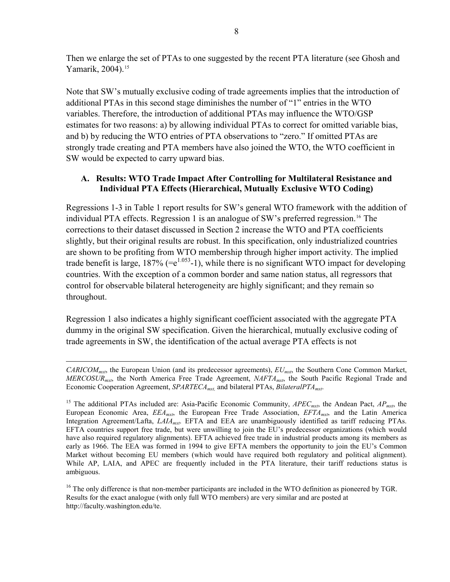Then we enlarge the set of PTAs to one suggested by the recent PTA literature (see Ghosh and Yamarik, 2004).<sup>[15](#page-9-0)</sup>

Note that SW's mutually exclusive coding of trade agreements implies that the introduction of additional PTAs in this second stage diminishes the number of "1" entries in the WTO variables. Therefore, the introduction of additional PTAs may influence the WTO/GSP estimates for two reasons: a) by allowing individual PTAs to correct for omitted variable bias, and b) by reducing the WTO entries of PTA observations to "zero." If omitted PTAs are strongly trade creating and PTA members have also joined the WTO, the WTO coefficient in SW would be expected to carry upward bias.

#### **A. Results: WTO Trade Impact After Controlling for Multilateral Resistance and Individual PTA Effects (Hierarchical, Mutually Exclusive WTO Coding)**

Regressions 1-3 in Table 1 report results for SW's general WTO framework with the addition of individual PTA effects. Regression 1 is an analogue of SW's preferred regression.<sup>[16](#page-9-1)</sup> The corrections to their dataset discussed in Section 2 increase the WTO and PTA coefficients slightly, but their original results are robust. In this specification, only industrialized countries are shown to be profiting from WTO membership through higher import activity. The implied trade benefit is large,  $187\%$  (=e<sup>1.053</sup>-1), while there is no significant WTO impact for developing countries. With the exception of a common border and same nation status, all regressors that control for observable bilateral heterogeneity are highly significant; and they remain so throughout.

Regression 1 also indicates a highly significant coefficient associated with the aggregate PTA dummy in the original SW specification. Given the hierarchical, mutually exclusive coding of trade agreements in SW, the identification of the actual average PTA effects is not

*CARICOMmxt*, the European Union (and its predecessor agreements), *EUmxt*, the Southern Cone Common Market, *MERCOSURmxt*, the North America Free Trade Agreement, *NAFTAmxt*, the South Pacific Regional Trade and Economic Cooperation Agreement, *SPARTECAmxt,* and bilateral PTAs, *BilateralPTAmxt*.

<span id="page-9-0"></span><sup>&</sup>lt;sup>15</sup> The additional PTAs included are: Asia-Pacific Economic Community, *APEC<sub>mxt*</sub>, the Andean Pact, *AP<sub>mxt*</sub>, the European Economic Area, *EEAmxt*, the European Free Trade Association, *EFTAmxt*, and the Latin America Integration Agreement/Lafta, *LAIAmxt*. EFTA and EEA are unambiguously identified as tariff reducing PTAs. EFTA countries support free trade, but were unwilling to join the EU's predecessor organizations (which would have also required regulatory alignments). EFTA achieved free trade in industrial products among its members as early as 1966. The EEA was formed in 1994 to give EFTA members the opportunity to join the EU's Common Market without becoming EU members (which would have required both regulatory and political alignment). While AP, LAIA, and APEC are frequently included in the PTA literature, their tariff reductions status is ambiguous.

<span id="page-9-1"></span><sup>&</sup>lt;sup>16</sup> The only difference is that non-member participants are included in the WTO definition as pioneered by TGR. Results for the exact analogue (with only full WTO members) are very similar and are posted at http://faculty.washington.edu/te.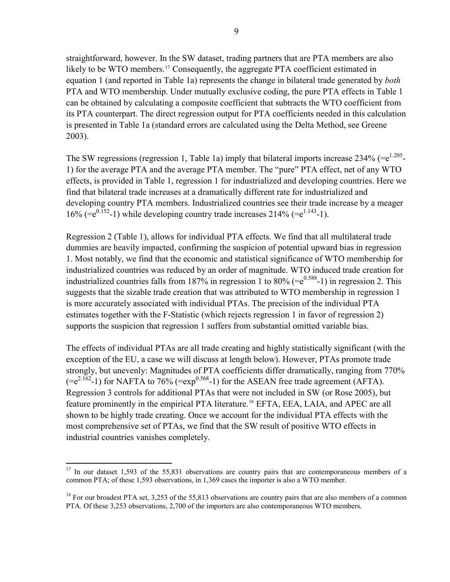straightforward, however. In the SW dataset, trading partners that are PTA members are also likely to be WTO members.<sup>[17](#page-10-0)</sup> Consequently, the aggregate PTA coefficient estimated in equation 1 (and reported in Table 1a) represents the change in bilateral trade generated by *both* PTA and WTO membership. Under mutually exclusive coding, the pure PTA effects in Table 1 can be obtained by calculating a composite coefficient that subtracts the WTO coefficient from its PTA counterpart. The direct regression output for PTA coefficients needed in this calculation is presented in Table 1a (standard errors are calculated using the Delta Method, see Greene 2003).

The SW regressions (regression 1, Table 1a) imply that bilateral imports increase  $234\%$  (= $e^{1.205}$ -1) for the average PTA and the average PTA member. The "pure" PTA effect, net of any WTO effects, is provided in Table 1, regression 1 for industrialized and developing countries. Here we find that bilateral trade increases at a dramatically different rate for industrialized and developing country PTA members. Industrialized countries see their trade increase by a meager 16% (= $e^{0.152}$ -1) while developing country trade increases 214% (= $e^{1.143}$ -1).

Regression 2 (Table 1), allows for individual PTA effects. We find that all multilateral trade dummies are heavily impacted, confirming the suspicion of potential upward bias in regression 1. Most notably, we find that the economic and statistical significance of WTO membership for industrialized countries was reduced by an order of magnitude. WTO induced trade creation for industrialized countries falls from 187% in regression 1 to 80% (= $e^{0.588}$ -1) in regression 2. This suggests that the sizable trade creation that was attributed to WTO membership in regression 1 is more accurately associated with individual PTAs. The precision of the individual PTA estimates together with the F-Statistic (which rejects regression 1 in favor of regression 2) supports the suspicion that regression 1 suffers from substantial omitted variable bias.

The effects of individual PTAs are all trade creating and highly statistically significant (with the exception of the EU, a case we will discuss at length below). However, PTAs promote trade strongly, but unevenly: Magnitudes of PTA coefficients differ dramatically, ranging from 770%  $(=e^{2.162}-1)$  for NAFTA to 76% ( $=$ exp<sup>0.568</sup>-1) for the ASEAN free trade agreement (AFTA). Regression 3 controls for additional PTAs that were not included in SW (or Rose 2005), but feature prominently in the empirical PTA literature.<sup>[18](#page-10-1)</sup> EFTA, EEA, LAIA, and APEC are all shown to be highly trade creating. Once we account for the individual PTA effects with the most comprehensive set of PTAs, we find that the SW result of positive WTO effects in industrial countries vanishes completely.

<span id="page-10-0"></span> $17$  In our dataset 1,593 of the 55,831 observations are country pairs that are contemporaneous members of a common PTA; of these 1,593 observations, in 1,369 cases the importer is also a WTO member.

<span id="page-10-1"></span><sup>&</sup>lt;sup>18</sup> For our broadest PTA set, 3,253 of the 55,813 observations are country pairs that are also members of a common PTA. Of these 3,253 observations, 2,700 of the importers are also contemporaneous WTO members.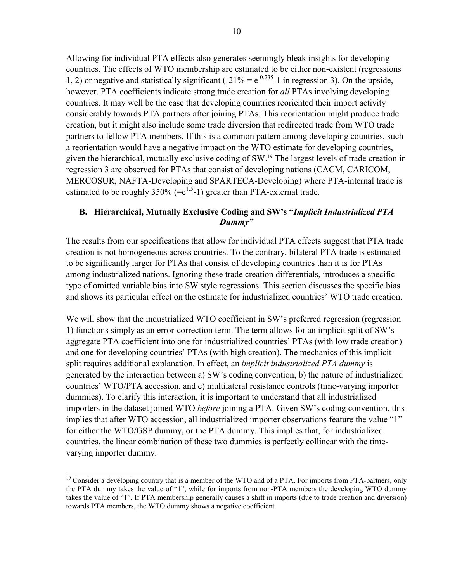Allowing for individual PTA effects also generates seemingly bleak insights for developing countries. The effects of WTO membership are estimated to be either non-existent (regressions 1, 2) or negative and statistically significant  $(-21\% = e^{-0.235} - 1$  in regression 3). On the upside, however, PTA coefficients indicate strong trade creation for *all* PTAs involving developing countries. It may well be the case that developing countries reoriented their import activity considerably towards PTA partners after joining PTAs. This reorientation might produce trade creation, but it might also include some trade diversion that redirected trade from WTO trade partners to fellow PTA members. If this is a common pattern among developing countries, such a reorientation would have a negative impact on the WTO estimate for developing countries, given the hierarchical, mutually exclusive coding of SW.[19](#page-11-0) The largest levels of trade creation in regression 3 are observed for PTAs that consist of developing nations (CACM, CARICOM, MERCOSUR, NAFTA-Developing and SPARTECA-Developing) where PTA-internal trade is estimated to be roughly  $350\%$  (= $e^{1.5}$ -1) greater than PTA-external trade.

#### **B. Hierarchical, Mutually Exclusive Coding and SW's "***Implicit Industrialized PTA Dummy"*

The results from our specifications that allow for individual PTA effects suggest that PTA trade creation is not homogeneous across countries. To the contrary, bilateral PTA trade is estimated to be significantly larger for PTAs that consist of developing countries than it is for PTAs among industrialized nations. Ignoring these trade creation differentials, introduces a specific type of omitted variable bias into SW style regressions. This section discusses the specific bias and shows its particular effect on the estimate for industrialized countries' WTO trade creation.

We will show that the industrialized WTO coefficient in SW's preferred regression (regression 1) functions simply as an error-correction term. The term allows for an implicit split of SW's aggregate PTA coefficient into one for industrialized countries' PTAs (with low trade creation) and one for developing countries' PTAs (with high creation). The mechanics of this implicit split requires additional explanation. In effect, an *implicit industrialized PTA dummy* is generated by the interaction between a) SW's coding convention, b) the nature of industrialized countries' WTO/PTA accession, and c) multilateral resistance controls (time-varying importer dummies). To clarify this interaction, it is important to understand that all industrialized importers in the dataset joined WTO *before* joining a PTA. Given SW's coding convention, this implies that after WTO accession, all industrialized importer observations feature the value "1" for either the WTO/GSP dummy, or the PTA dummy. This implies that, for industrialized countries, the linear combination of these two dummies is perfectly collinear with the timevarying importer dummy.

<span id="page-11-0"></span><sup>&</sup>lt;sup>19</sup> Consider a developing country that is a member of the WTO and of a PTA. For imports from PTA-partners, only the PTA dummy takes the value of "1", while for imports from non-PTA members the developing WTO dummy takes the value of "1". If PTA membership generally causes a shift in imports (due to trade creation and diversion) towards PTA members, the WTO dummy shows a negative coefficient.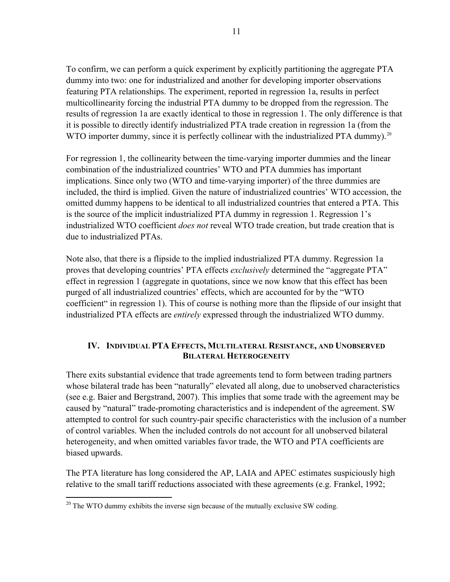To confirm, we can perform a quick experiment by explicitly partitioning the aggregate PTA dummy into two: one for industrialized and another for developing importer observations featuring PTA relationships. The experiment, reported in regression 1a, results in perfect multicollinearity forcing the industrial PTA dummy to be dropped from the regression. The results of regression 1a are exactly identical to those in regression 1. The only difference is that it is possible to directly identify industrialized PTA trade creation in regression 1a (from the WTO importer dummy, since it is perfectly collinear with the industrialized PTA dummy).<sup>[20](#page-12-0)</sup>

For regression 1, the collinearity between the time-varying importer dummies and the linear combination of the industrialized countries' WTO and PTA dummies has important implications. Since only two (WTO and time-varying importer) of the three dummies are included, the third is implied. Given the nature of industrialized countries' WTO accession, the omitted dummy happens to be identical to all industrialized countries that entered a PTA. This is the source of the implicit industrialized PTA dummy in regression 1. Regression 1's industrialized WTO coefficient *does not* reveal WTO trade creation, but trade creation that is due to industrialized PTAs.

Note also, that there is a flipside to the implied industrialized PTA dummy. Regression 1a proves that developing countries' PTA effects *exclusively* determined the "aggregate PTA" effect in regression 1 (aggregate in quotations, since we now know that this effect has been purged of all industrialized countries' effects, which are accounted for by the "WTO coefficient" in regression 1). This of course is nothing more than the flipside of our insight that industrialized PTA effects are *entirely* expressed through the industrialized WTO dummy.

#### **IV. INDIVIDUAL PTA EFFECTS, MULTILATERAL RESISTANCE, AND UNOBSERVED BILATERAL HETEROGENEITY**

There exits substantial evidence that trade agreements tend to form between trading partners whose bilateral trade has been "naturally" elevated all along, due to unobserved characteristics (see e.g. Baier and Bergstrand, 2007). This implies that some trade with the agreement may be caused by "natural" trade-promoting characteristics and is independent of the agreement. SW attempted to control for such country-pair specific characteristics with the inclusion of a number of control variables. When the included controls do not account for all unobserved bilateral heterogeneity, and when omitted variables favor trade, the WTO and PTA coefficients are biased upwards.

The PTA literature has long considered the AP, LAIA and APEC estimates suspiciously high relative to the small tariff reductions associated with these agreements (e.g. Frankel, 1992;

<span id="page-12-0"></span> $\overline{a}$  $20$  The WTO dummy exhibits the inverse sign because of the mutually exclusive SW coding.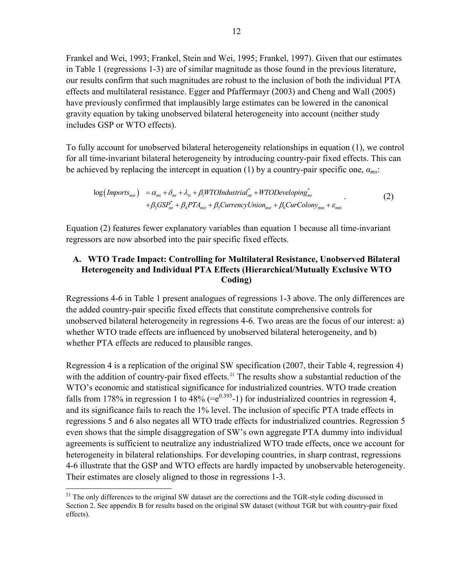Frankel and Wei, 1993; Frankel, Stein and Wei, 1995; Frankel, 1997). Given that our estimates in Table 1 (regressions 1-3) are of similar magnitude as those found in the previous literature, our results confirm that such magnitudes are robust to the inclusion of both the individual PTA effects and multilateral resistance. Egger and Pfaffermayr (2003) and Cheng and Wall (2005) have previously confirmed that implausibly large estimates can be lowered in the canonical gravity equation by taking unobserved bilateral heterogeneity into account (neither study includes GSP or WTO effects).

To fully account for unobserved bilateral heterogeneity relationships in equation (1), we control for all time-invariant bilateral heterogeneity by introducing country-pair fixed effects. This can be achieved by replacing the intercept in equation (1) by a country-pair specific one, *αmx*:

$$
\log(Imports_{\text{max}}) = \alpha_{\text{max}} + \delta_{\text{int}} + \lambda_{\text{xt}} + \beta_1 W T O Industrial_{\text{int}}^* + W T O Developing_{\text{int}}^* + \beta_3 GSP_{\text{int}}^* + \beta_4 P T A_{\text{max}} + \beta_5 Currency Union_{\text{max}} + \beta_6 Cur Colony_{\text{max}} + \varepsilon_{\text{max}} \tag{2}
$$

Equation (2) features fewer explanatory variables than equation 1 because all time-invariant regressors are now absorbed into the pair specific fixed effects.

#### **A. WTO Trade Impact: Controlling for Multilateral Resistance, Unobserved Bilateral Heterogeneity and Individual PTA Effects (Hierarchical/Mutually Exclusive WTO Coding)**

Regressions 4-6 in Table 1 present analogues of regressions 1-3 above. The only differences are the added country-pair specific fixed effects that constitute comprehensive controls for unobserved bilateral heterogeneity in regressions 4-6. Two areas are the focus of our interest: a) whether WTO trade effects are influenced by unobserved bilateral heterogeneity, and b) whether PTA effects are reduced to plausible ranges.

Regression 4 is a replication of the original SW specification (2007, their Table 4, regression 4) with the addition of country-pair fixed effects.<sup>[21](#page-13-0)</sup> The results show a substantial reduction of the WTO's economic and statistical significance for industrialized countries. WTO trade creation falls from 178% in regression 1 to 48% (= $e^{0.393}$ -1) for industrialized countries in regression 4, and its significance fails to reach the 1% level. The inclusion of specific PTA trade effects in regressions 5 and 6 also negates all WTO trade effects for industrialized countries. Regression 5 even shows that the simple disaggregation of SW's own aggregate PTA dummy into individual agreements is sufficient to neutralize any industrialized WTO trade effects, once we account for heterogeneity in bilateral relationships. For developing countries, in sharp contrast, regressions 4-6 illustrate that the GSP and WTO effects are hardly impacted by unobservable heterogeneity. Their estimates are closely aligned to those in regressions 1-3.

<span id="page-13-0"></span><sup>&</sup>lt;sup>21</sup> The only differences to the original SW dataset are the corrections and the TGR-style coding discussed in Section 2. See appendix B for results based on the original SW dataset (without TGR but with country-pair fixed effects).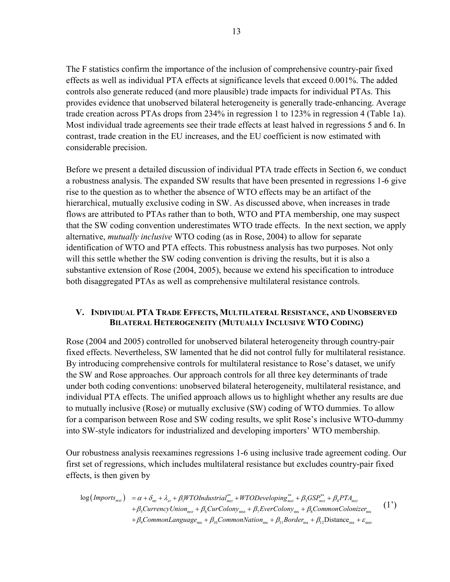The F statistics confirm the importance of the inclusion of comprehensive country-pair fixed effects as well as individual PTA effects at significance levels that exceed 0.001%. The added controls also generate reduced (and more plausible) trade impacts for individual PTAs. This provides evidence that unobserved bilateral heterogeneity is generally trade-enhancing. Average trade creation across PTAs drops from 234% in regression 1 to 123% in regression 4 (Table 1a). Most individual trade agreements see their trade effects at least halved in regressions 5 and 6. In contrast, trade creation in the EU increases, and the EU coefficient is now estimated with considerable precision.

Before we present a detailed discussion of individual PTA trade effects in Section 6, we conduct a robustness analysis. The expanded SW results that have been presented in regressions 1-6 give rise to the question as to whether the absence of WTO effects may be an artifact of the hierarchical, mutually exclusive coding in SW. As discussed above, when increases in trade flows are attributed to PTAs rather than to both, WTO and PTA membership, one may suspect that the SW coding convention underestimates WTO trade effects. In the next section, we apply alternative, *mutually inclusive* WTO coding (as in Rose, 2004) to allow for separate identification of WTO and PTA effects. This robustness analysis has two purposes. Not only will this settle whether the SW coding convention is driving the results, but it is also a substantive extension of Rose (2004, 2005), because we extend his specification to introduce both disaggregated PTAs as well as comprehensive multilateral resistance controls.

#### **V. INDIVIDUAL PTA TRADE EFFECTS, MULTILATERAL RESISTANCE, AND UNOBSERVED BILATERAL HETEROGENEITY (MUTUALLY INCLUSIVE WTO CODING)**

Rose (2004 and 2005) controlled for unobserved bilateral heterogeneity through country-pair fixed effects. Nevertheless, SW lamented that he did not control fully for multilateral resistance. By introducing comprehensive controls for multilateral resistance to Rose's dataset, we unify the SW and Rose approaches. Our approach controls for all three key determinants of trade under both coding conventions: unobserved bilateral heterogeneity, multilateral resistance, and individual PTA effects. The unified approach allows us to highlight whether any results are due to mutually inclusive (Rose) or mutually exclusive (SW) coding of WTO dummies. To allow for a comparison between Rose and SW coding results, we split Rose's inclusive WTO-dummy into SW-style indicators for industrialized and developing importers' WTO membership.

Our robustness analysis reexamines regressions 1-6 using inclusive trade agreement coding. Our first set of regressions, which includes multilateral resistance but excludes country-pair fixed effects, is then given by

$$
\log(\text{Imports}_{\text{max}}) = \alpha + \delta_{\text{mt}} + \lambda_{\text{xt}} + \beta_{\text{l}}WTOIndustrial_{\text{max}}^{**} + WTODeveloping_{\text{max}}^{**} + \beta_{\text{3}} GSP_{\text{max}}^{**} + \beta_{\text{4}} PTA_{\text{max}} + \beta_{\text{5}}Current_{\text{max}} + \beta_{\text{6}}Current_{\text{max}} + \beta_{\text{6}}Current_{\text{max}} + \beta_{\text{6}}Current_{\text{max}} + \beta_{\text{7}}Current_{\text{max}} + \beta_{\text{8}}Comment_{\text{max}} + \beta_{\text{9}}Comment_{\text{max}} + \beta_{\text{10}}Content_{\text{max}} + \beta_{\text{11}} Brother_{\text{max}} + \beta_{\text{12}} Distance_{\text{max}} + \varepsilon_{\text{max}} + \varepsilon_{\text{max}}
$$
\n(1')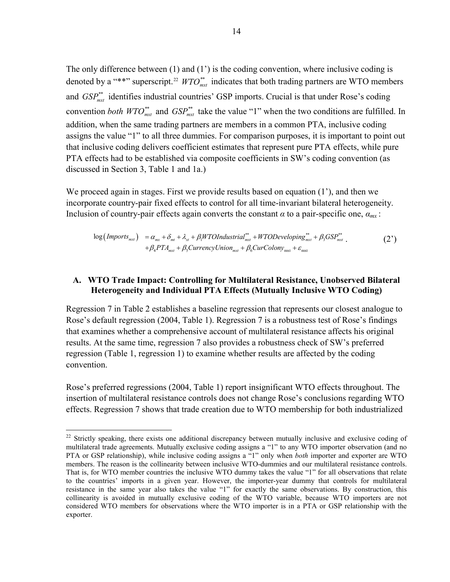The only difference between (1) and (1') is the coding convention, where inclusive coding is denoted by a "\*\*" superscript.<sup>[22](#page-15-0)</sup>  $WTO^{**}_{mrt}$  indicates that both trading partners are WTO members and  $GSP_{mrt}^{**}$  identifies industrial countries' GSP imports. Crucial is that under Rose's coding convention *both WTO*<sup>\*\*</sup> and  $GSP^*_{\text{max}}$  take the value "1" when the two conditions are fulfilled. In addition, when the same trading partners are members in a common PTA, inclusive coding assigns the value "1" to all three dummies. For comparison purposes, it is important to point out that inclusive coding delivers coefficient estimates that represent pure PTA effects, while pure PTA effects had to be established via composite coefficients in SW's coding convention (as discussed in Section 3, Table 1 and 1a.)

We proceed again in stages. First we provide results based on equation (1<sup>'</sup>), and then we incorporate country-pair fixed effects to control for all time-invariant bilateral heterogeneity. Inclusion of country-pair effects again converts the constant  $\alpha$  to a pair-specific one,  $\alpha_{mx}$ .

$$
\log(Imports_{mx}) = \alpha_{mx} + \delta_{mt} + \lambda_{xt} + \beta_1 WTOIndustrial_{mxt}^{**} + WTODeveloping_{mxt}^{**} + \beta_3 GSP_{mxt}^{**}.
$$
  
+  $\beta_4 PTA_{mxt} + \beta_5 Currentcylnion_{mxt} + \beta_6 CurColony_{mxt} + \varepsilon_{mxt}$  (2')

#### **A. WTO Trade Impact: Controlling for Multilateral Resistance, Unobserved Bilateral Heterogeneity and Individual PTA Effects (Mutually Inclusive WTO Coding)**

Regression 7 in Table 2 establishes a baseline regression that represents our closest analogue to Rose's default regression (2004, Table 1). Regression 7 is a robustness test of Rose's findings that examines whether a comprehensive account of multilateral resistance affects his original results. At the same time, regression 7 also provides a robustness check of SW's preferred regression (Table 1, regression 1) to examine whether results are affected by the coding convention.

Rose's preferred regressions (2004, Table 1) report insignificant WTO effects throughout. The insertion of multilateral resistance controls does not change Rose's conclusions regarding WTO effects. Regression 7 shows that trade creation due to WTO membership for both industrialized

<span id="page-15-0"></span> $^{22}$  Strictly speaking, there exists one additional discrepancy between mutually inclusive and exclusive coding of multilateral trade agreements. Mutually exclusive coding assigns a "1" to any WTO importer observation (and no PTA or GSP relationship), while inclusive coding assigns a "1" only when *both* importer and exporter are WTO members. The reason is the collinearity between inclusive WTO-dummies and our multilateral resistance controls. That is, for WTO member countries the inclusive WTO dummy takes the value "1" for all observations that relate to the countries' imports in a given year. However, the importer-year dummy that controls for multilateral resistance in the same year also takes the value "1" for exactly the same observations. By construction, this collinearity is avoided in mutually exclusive coding of the WTO variable, because WTO importers are not considered WTO members for observations where the WTO importer is in a PTA or GSP relationship with the exporter.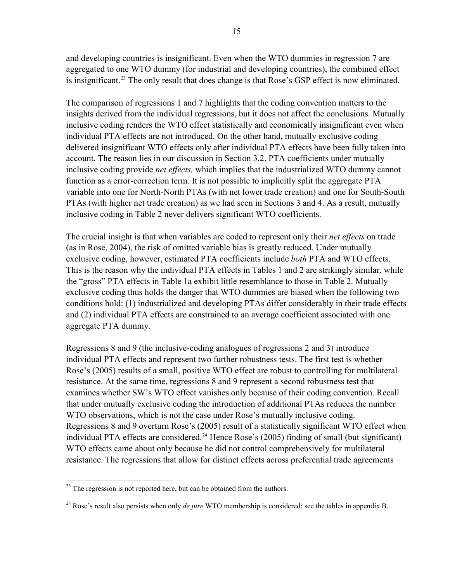and developing countries is insignificant. Even when the WTO dummies in regression 7 are aggregated to one WTO dummy (for industrial and developing countries), the combined effect is insignificant.<sup>[23](#page-16-0)</sup> The only result that does change is that Rose's GSP effect is now eliminated.

The comparison of regressions 1 and 7 highlights that the coding convention matters to the insights derived from the individual regressions, but it does not affect the conclusions. Mutually inclusive coding renders the WTO effect statistically and economically insignificant even when individual PTA effects are not introduced. On the other hand, mutually exclusive coding delivered insignificant WTO effects only after individual PTA effects have been fully taken into account. The reason lies in our discussion in Section 3.2. PTA coefficients under mutually inclusive coding provide *net effects,* which implies that the industrialized WTO dummy cannot function as a error-correction term. It is not possible to implicitly split the aggregate PTA variable into one for North-North PTAs (with net lower trade creation) and one for South-South PTAs (with higher net trade creation) as we had seen in Sections 3 and 4. As a result, mutually inclusive coding in Table 2 never delivers significant WTO coefficients.

The crucial insight is that when variables are coded to represent only their *net effects* on trade (as in Rose, 2004), the risk of omitted variable bias is greatly reduced. Under mutually exclusive coding, however, estimated PTA coefficients include *both* PTA and WTO effects. This is the reason why the individual PTA effects in Tables 1 and 2 are strikingly similar, while the "gross" PTA effects in Table 1a exhibit little resemblance to those in Table 2. Mutually exclusive coding thus holds the danger that WTO dummies are biased when the following two conditions hold: (1) industrialized and developing PTAs differ considerably in their trade effects and (2) individual PTA effects are constrained to an average coefficient associated with one aggregate PTA dummy.

Regressions 8 and 9 (the inclusive-coding analogues of regressions 2 and 3) introduce individual PTA effects and represent two further robustness tests. The first test is whether Rose's (2005) results of a small, positive WTO effect are robust to controlling for multilateral resistance. At the same time, regressions 8 and 9 represent a second robustness test that examines whether SW's WTO effect vanishes only because of their coding convention. Recall that under mutually exclusive coding the introduction of additional PTAs reduces the number WTO observations, which is not the case under Rose's mutually inclusive coding. Regressions 8 and 9 overturn Rose's (2005) result of a statistically significant WTO effect when individual PTA effects are considered.<sup>[24](#page-16-1)</sup> Hence Rose's (2005) finding of small (but significant) WTO effects came about only because he did not control comprehensively for multilateral resistance. The regressions that allow for distinct effects across preferential trade agreements

<u>.</u>

<span id="page-16-0"></span> $^{23}$  The regression is not reported here, but can be obtained from the authors.

<span id="page-16-1"></span><sup>&</sup>lt;sup>24</sup> Rose's result also persists when only *de jure* WTO membership is considered; see the tables in appendix B.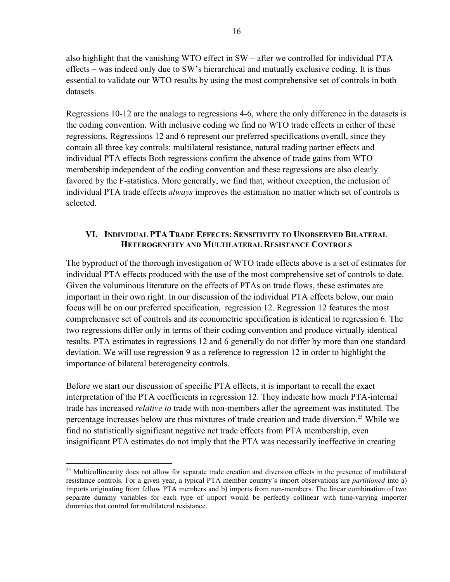also highlight that the vanishing WTO effect in SW – after we controlled for individual PTA effects – was indeed only due to SW's hierarchical and mutually exclusive coding. It is thus essential to validate our WTO results by using the most comprehensive set of controls in both datasets.

Regressions 10-12 are the analogs to regressions 4-6, where the only difference in the datasets is the coding convention. With inclusive coding we find no WTO trade effects in either of these regressions. Regressions 12 and 6 represent our preferred specifications overall, since they contain all three key controls: multilateral resistance, natural trading partner effects and individual PTA effects Both regressions confirm the absence of trade gains from WTO membership independent of the coding convention and these regressions are also clearly favored by the F-statistics. More generally, we find that, without exception, the inclusion of individual PTA trade effects *always* improves the estimation no matter which set of controls is selected.

#### **VI. INDIVIDUAL PTA TRADE EFFECTS: SENSITIVITY TO UNOBSERVED BILATERAL HETEROGENEITY AND MULTILATERAL RESISTANCE CONTROLS**

The byproduct of the thorough investigation of WTO trade effects above is a set of estimates for individual PTA effects produced with the use of the most comprehensive set of controls to date. Given the voluminous literature on the effects of PTAs on trade flows, these estimates are important in their own right. In our discussion of the individual PTA effects below, our main focus will be on our preferred specification, regression 12. Regression 12 features the most comprehensive set of controls and its econometric specification is identical to regression 6. The two regressions differ only in terms of their coding convention and produce virtually identical results. PTA estimates in regressions 12 and 6 generally do not differ by more than one standard deviation. We will use regression 9 as a reference to regression 12 in order to highlight the importance of bilateral heterogeneity controls.

Before we start our discussion of specific PTA effects, it is important to recall the exact interpretation of the PTA coefficients in regression 12. They indicate how much PTA-internal trade has increased *relative to* trade with non-members after the agreement was instituted. The percentage increases below are thus mixtures of trade creation and trade diversion.<sup>[25](#page-17-0)</sup> While we find no statistically significant negative net trade effects from PTA membership, even insignificant PTA estimates do not imply that the PTA was necessarily ineffective in creating

<u>.</u>

<span id="page-17-0"></span><sup>&</sup>lt;sup>25</sup> Multicollinearity does not allow for separate trade creation and diversion effects in the presence of multilateral resistance controls. For a given year, a typical PTA member country's import observations are *partitioned* into a) imports originating from fellow PTA members and b) imports from non-members. The linear combination of two separate dummy variables for each type of import would be perfectly collinear with time-varying importer dummies that control for multilateral resistance.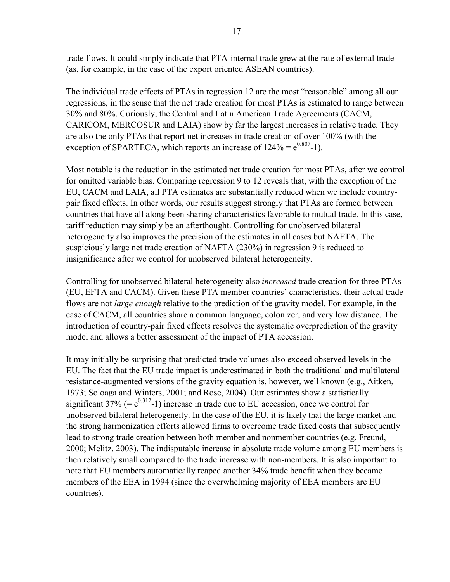trade flows. It could simply indicate that PTA-internal trade grew at the rate of external trade (as, for example, in the case of the export oriented ASEAN countries).

The individual trade effects of PTAs in regression 12 are the most "reasonable" among all our regressions, in the sense that the net trade creation for most PTAs is estimated to range between 30% and 80%. Curiously, the Central and Latin American Trade Agreements (CACM, CARICOM, MERCOSUR and LAIA) show by far the largest increases in relative trade. They are also the only PTAs that report net increases in trade creation of over 100% (with the exception of SPARTECA, which reports an increase of  $124\% = e^{0.807} - 1$ .

Most notable is the reduction in the estimated net trade creation for most PTAs, after we control for omitted variable bias. Comparing regression 9 to 12 reveals that, with the exception of the EU, CACM and LAIA, all PTA estimates are substantially reduced when we include countrypair fixed effects. In other words, our results suggest strongly that PTAs are formed between countries that have all along been sharing characteristics favorable to mutual trade. In this case, tariff reduction may simply be an afterthought. Controlling for unobserved bilateral heterogeneity also improves the precision of the estimates in all cases but NAFTA. The suspiciously large net trade creation of NAFTA (230%) in regression 9 is reduced to insignificance after we control for unobserved bilateral heterogeneity.

Controlling for unobserved bilateral heterogeneity also *increased* trade creation for three PTAs (EU, EFTA and CACM). Given these PTA member countries' characteristics, their actual trade flows are not *large enough* relative to the prediction of the gravity model. For example, in the case of CACM, all countries share a common language, colonizer, and very low distance. The introduction of country-pair fixed effects resolves the systematic overprediction of the gravity model and allows a better assessment of the impact of PTA accession.

It may initially be surprising that predicted trade volumes also exceed observed levels in the EU. The fact that the EU trade impact is underestimated in both the traditional and multilateral resistance-augmented versions of the gravity equation is, however, well known (e.g., Aitken, 1973; Soloaga and Winters, 2001; and Rose, 2004). Our estimates show a statistically significant 37% (=  $e^{0.312}$ -1) increase in trade due to EU accession, once we control for unobserved bilateral heterogeneity. In the case of the EU, it is likely that the large market and the strong harmonization efforts allowed firms to overcome trade fixed costs that subsequently lead to strong trade creation between both member and nonmember countries (e.g. Freund, 2000; Melitz, 2003). The indisputable increase in absolute trade volume among EU members is then relatively small compared to the trade increase with non-members. It is also important to note that EU members automatically reaped another 34% trade benefit when they became members of the EEA in 1994 (since the overwhelming majority of EEA members are EU countries).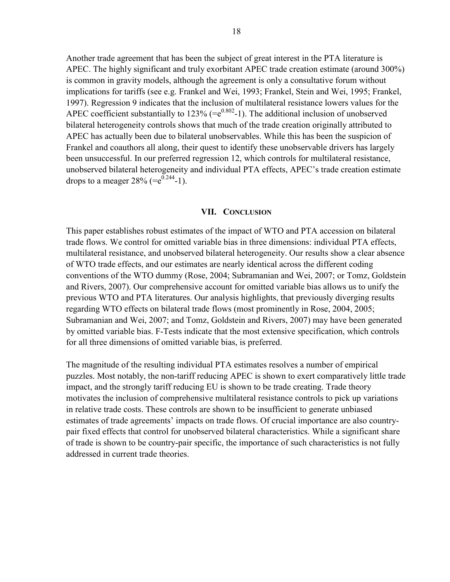Another trade agreement that has been the subject of great interest in the PTA literature is APEC. The highly significant and truly exorbitant APEC trade creation estimate (around 300%) is common in gravity models, although the agreement is only a consultative forum without implications for tariffs (see e.g. Frankel and Wei, 1993; Frankel, Stein and Wei, 1995; Frankel, 1997). Regression 9 indicates that the inclusion of multilateral resistance lowers values for the APEC coefficient substantially to  $123\%$  (= $e^{0.802}$ -1). The additional inclusion of unobserved bilateral heterogeneity controls shows that much of the trade creation originally attributed to APEC has actually been due to bilateral unobservables. While this has been the suspicion of Frankel and coauthors all along, their quest to identify these unobservable drivers has largely been unsuccessful. In our preferred regression 12, which controls for multilateral resistance, unobserved bilateral heterogeneity and individual PTA effects, APEC's trade creation estimate drops to a meager  $28\%$  (= $e^{0.244}$ -1).

#### **VII. CONCLUSION**

This paper establishes robust estimates of the impact of WTO and PTA accession on bilateral trade flows. We control for omitted variable bias in three dimensions: individual PTA effects, multilateral resistance, and unobserved bilateral heterogeneity. Our results show a clear absence of WTO trade effects, and our estimates are nearly identical across the different coding conventions of the WTO dummy (Rose, 2004; Subramanian and Wei, 2007; or Tomz, Goldstein and Rivers, 2007). Our comprehensive account for omitted variable bias allows us to unify the previous WTO and PTA literatures. Our analysis highlights, that previously diverging results regarding WTO effects on bilateral trade flows (most prominently in Rose, 2004, 2005; Subramanian and Wei, 2007; and Tomz, Goldstein and Rivers, 2007) may have been generated by omitted variable bias. F-Tests indicate that the most extensive specification, which controls for all three dimensions of omitted variable bias, is preferred.

The magnitude of the resulting individual PTA estimates resolves a number of empirical puzzles. Most notably, the non-tariff reducing APEC is shown to exert comparatively little trade impact, and the strongly tariff reducing EU is shown to be trade creating. Trade theory motivates the inclusion of comprehensive multilateral resistance controls to pick up variations in relative trade costs. These controls are shown to be insufficient to generate unbiased estimates of trade agreements' impacts on trade flows. Of crucial importance are also countrypair fixed effects that control for unobserved bilateral characteristics. While a significant share of trade is shown to be country-pair specific, the importance of such characteristics is not fully addressed in current trade theories.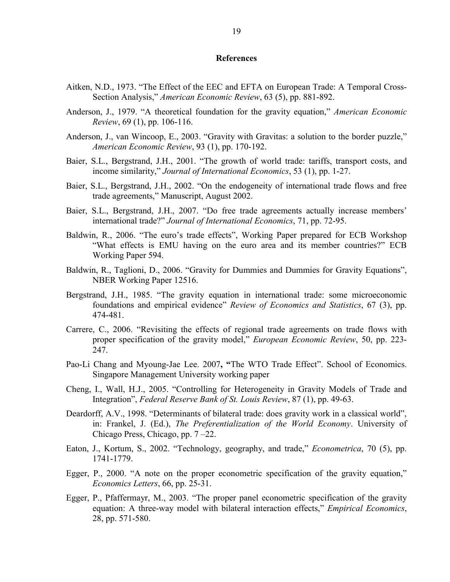#### **References**

- Aitken, N.D., 1973. "The Effect of the EEC and EFTA on European Trade: A Temporal Cross-Section Analysis," *American Economic Review*, 63 (5), pp. 881-892.
- Anderson, J., 1979. "A theoretical foundation for the gravity equation," *American Economic Review*, 69 (1), pp. 106-116.
- Anderson, J., van Wincoop, E., 2003. "Gravity with Gravitas: a solution to the border puzzle," *American Economic Review*, 93 (1), pp. 170-192.
- Baier, S.L., Bergstrand, J.H., 2001. "The growth of world trade: tariffs, transport costs, and income similarity," *Journal of International Economics*, 53 (1), pp. 1-27.
- Baier, S.L., Bergstrand, J.H., 2002. "On the endogeneity of international trade flows and free trade agreements," Manuscript, August 2002.
- Baier, S.L., Bergstrand, J.H., 2007. "Do free trade agreements actually increase members' international trade?" *Journal of International Economics*, 71, pp. 72-95.
- Baldwin, R., 2006. "The euro's trade effects", Working Paper prepared for ECB Workshop "What effects is EMU having on the euro area and its member countries?" ECB Working Paper 594.
- Baldwin, R., Taglioni, D., 2006. "Gravity for Dummies and Dummies for Gravity Equations", NBER Working Paper 12516.
- Bergstrand, J.H., 1985. "The gravity equation in international trade: some microeconomic foundations and empirical evidence" *Review of Economics and Statistics*, 67 (3), pp. 474-481.
- Carrere, C., 2006. "Revisiting the effects of regional trade agreements on trade flows with proper specification of the gravity model," *European Economic Review*, 50, pp. 223- 247.
- Pao-Li Chang and Myoung-Jae Lee. 2007**, "**The WTO Trade Effect". School of Economics. Singapore Management University working paper
- Cheng, I., Wall, H.J., 2005. "Controlling for Heterogeneity in Gravity Models of Trade and Integration", *Federal Reserve Bank of St. Louis Review*, 87 (1), pp. 49-63.
- Deardorff, A.V., 1998. "Determinants of bilateral trade: does gravity work in a classical world", in: Frankel, J. (Ed.), *The Preferentialization of the World Economy*. University of Chicago Press, Chicago, pp. 7 –22.
- Eaton, J., Kortum, S., 2002. "Technology, geography, and trade," *Econometrica*, 70 (5), pp. 1741-1779.
- Egger, P., 2000. "A note on the proper econometric specification of the gravity equation," *Economics Letters*, 66, pp. 25-31.
- Egger, P., Pfaffermayr, M., 2003. "The proper panel econometric specification of the gravity equation: A three-way model with bilateral interaction effects," *Empirical Economics*, 28, pp. 571-580.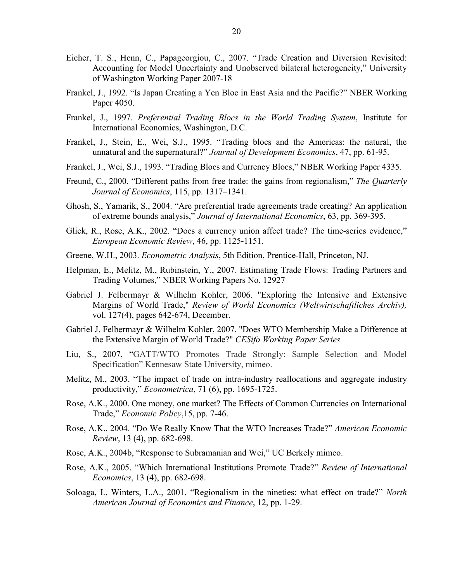- Eicher, T. S., Henn, C., Papageorgiou, C., 2007. "Trade Creation and Diversion Revisited: Accounting for Model Uncertainty and Unobserved bilateral heterogeneity," University of Washington Working Paper 2007-18
- Frankel, J., 1992. "Is Japan Creating a Yen Bloc in East Asia and the Pacific?" NBER Working Paper 4050.
- Frankel, J., 1997. *Preferential Trading Blocs in the World Trading System*, Institute for International Economics, Washington, D.C.
- Frankel, J., Stein, E., Wei, S.J., 1995. "Trading blocs and the Americas: the natural, the unnatural and the supernatural?" *Journal of Development Economics*, 47, pp. 61-95.
- Frankel, J., Wei, S.J., 1993. "Trading Blocs and Currency Blocs," NBER Working Paper 4335.
- Freund, C., 2000. "Different paths from free trade: the gains from regionalism," *The Quarterly Journal of Economics*, 115, pp. 1317–1341.
- Ghosh, S., Yamarik, S., 2004. "Are preferential trade agreements trade creating? An application of extreme bounds analysis," *Journal of International Economics*, 63, pp. 369-395.
- Glick, R., Rose, A.K., 2002. "Does a currency union affect trade? The time-series evidence," *European Economic Review*, 46, pp. 1125-1151.
- Greene, W.H., 2003. *Econometric Analysis*, 5th Edition, Prentice-Hall, Princeton, NJ.
- Helpman, E., Melitz, M., Rubinstein, Y., 2007. Estimating Trade Flows: Trading Partners and Trading Volumes," NBER Working Papers No. 12927
- Gabriel J. Felbermayr & Wilhelm Kohler, 2006. "Exploring the Intensive and Extensive Margins of World Trade," *Review of World Economics (Weltwirtschaftliches Archiv),* vol. 127(4), pages 642-674, December.
- Gabriel J. Felbermayr & Wilhelm Kohler, 2007. "Does WTO Membership Make a Difference at the Extensive Margin of World Trade?" *CESifo Working Paper Series*
- Liu, S., 2007, "GATT/WTO Promotes Trade Strongly: Sample Selection and Model Specification" Kennesaw State University, mimeo.
- Melitz, M., 2003. "The impact of trade on intra-industry reallocations and aggregate industry productivity," *Econometrica*, 71 (6), pp. 1695-1725.
- Rose, A.K., 2000. One money, one market? The Effects of Common Currencies on International Trade," *Economic Policy*,15, pp. 7-46.
- Rose, A.K., 2004. "Do We Really Know That the WTO Increases Trade?" *American Economic Review*, 13 (4), pp. 682-698.
- Rose, A.K., 2004b, "Response to Subramanian and Wei," UC Berkely mimeo.
- Rose, A.K., 2005. "Which International Institutions Promote Trade?" *Review of International Economics*, 13 (4), pp. 682-698.
- Soloaga, I., Winters, L.A., 2001. "Regionalism in the nineties: what effect on trade?" *North American Journal of Economics and Finance*, 12, pp. 1-29.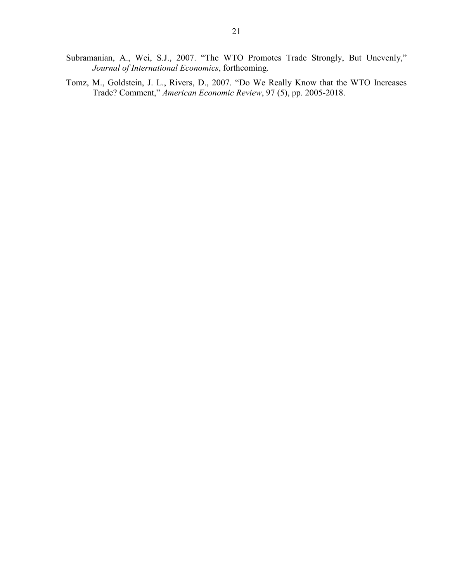- Subramanian, A., Wei, S.J., 2007. "The WTO Promotes Trade Strongly, But Unevenly," *Journal of International Economics*, forthcoming.
- Tomz, M., Goldstein, J. L., Rivers, D., 2007. "Do We Really Know that the WTO Increases Trade? Comment," *American Economic Review*, 97 (5), pp. 2005-2018.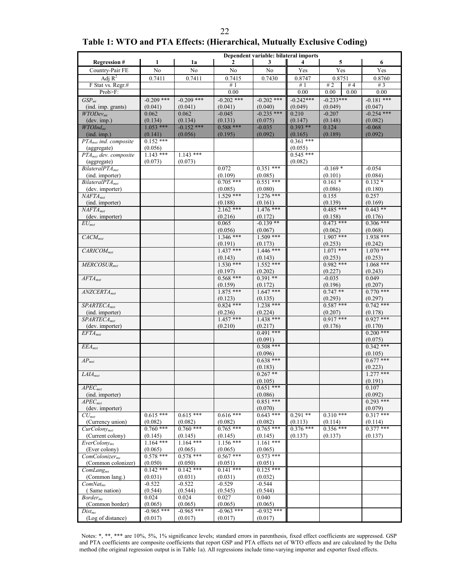#### 22 **Table 1: WTO and PTA Effects: (Hierarchical, Mutually Exclusive Coding)**

|                                         | Dependent variable: bilateral imports |                        |                        |                         |                        |                        |                         |  |  |
|-----------------------------------------|---------------------------------------|------------------------|------------------------|-------------------------|------------------------|------------------------|-------------------------|--|--|
| <b>Regression#</b>                      | 1                                     | 1a                     | $\mathbf{2}$           | 3                       | 4                      | 5                      | 6                       |  |  |
| Country-Pair FE                         | No                                    | N <sub>0</sub>         | No                     | No                      | Yes                    | Yes                    | Yes                     |  |  |
| Adj $R^2$                               | 0.7411                                | 0.7411                 | 0.7415                 | 0.7430                  | 0.8747                 | 0.8751                 | 0.8760                  |  |  |
| F Stat vs. Regr.#                       |                                       |                        | #1                     |                         | #1                     | # $2$<br>#4            | # $3$                   |  |  |
| Prob>F:                                 |                                       |                        | 0.00                   |                         | 0.00                   | 0.00<br>0.00           | 0.00                    |  |  |
| GSP <sub>mt</sub>                       | $-0.209$ ***                          | $-0.209$ ***           | $-0.202$ ***           | $-0.202$ ***            | $-0.242***$            | $-0.233***$            | $-0.181$ ***            |  |  |
| (ind. imp. grants)<br>$WTODev_{mt}$     | (0.041)<br>0.062                      | (0.041)<br>0.062       | (0.041)<br>$-0.045$    | (0.040)<br>$-0.235$ *** | (0.049)<br>0.210       | (0.049)<br>$-0.207$    | (0.047)<br>$-0.254$ *** |  |  |
| (dev. imp.)                             | (0.134)                               | (0.134)                | (0.131)                | (0.075)                 | (0.147)                | (0.148)                | (0.082)                 |  |  |
| $\overline{WTOInd_{mt}}$                | $1.053$ ***                           | $-0.152$ ***           | $0.588***$             | $-0.035$                | $0.393**$              | 0.124                  | $-0.068$                |  |  |
| (ind. imp.)                             | (0.141)                               | (0.056)                | (0.195)                | (0.092)                 | (0.165)                | (0.189)                | (0.092)                 |  |  |
| PTA <sub>mxt</sub> ind. composite       | $0.152$ ***                           |                        |                        |                         | $0.361***$             |                        |                         |  |  |
| (aggregate)                             | (0.056)                               |                        |                        |                         | (0.055)                |                        |                         |  |  |
| $PTA_{mxt}$ dev. composite              | $1.143$ ***                           | $1.143$ ***            |                        |                         | $0.545$ ***            |                        |                         |  |  |
| (aggregate)                             | (0.073)                               | (0.073)                |                        |                         | (0.082)                |                        |                         |  |  |
| $BilateralPTA_{mxt}$<br>(ind. importer) |                                       |                        | 0.072<br>(0.109)       | $0.351$ ***<br>(0.085)  |                        | $-0.169*$<br>(0.101)   | $-0.054$<br>(0.084)     |  |  |
| $BilateralPTA_{mxt}$                    |                                       |                        | $0.705$ ***            | $0.551***$              |                        | $0.161*$               | $0.132*$                |  |  |
| (dev. importer)                         |                                       |                        | (0.085)                | (0.080)                 |                        | (0.086)                | (0.180)                 |  |  |
| $NAFTA_{mxt}$                           |                                       |                        | $1.529$ ***            | $1.276$ ***             |                        | 0.155                  | 0.257                   |  |  |
| (ind. importer)                         |                                       |                        | (0.188)                | (0.161)                 |                        | (0.139)                | (0.169)                 |  |  |
| $NAFTA_{mxt}$                           |                                       |                        | $2.162***$             | $1.476$ ***             |                        | $0.485***$             | $0.443**$               |  |  |
| (dev. importer)                         |                                       |                        | (0.216)                | (0.172)                 |                        | (0.158)                | (0.176)                 |  |  |
| $\overline{EU_{mxt}}$                   |                                       |                        | 0.065                  | $-0.139**$              |                        | $0.473$ ***            | $0.306$ ***             |  |  |
|                                         |                                       |                        | (0.056)                | (0.067)<br>$1.509$ ***  |                        | (0.062)<br>$1.907***$  | (0.068)<br>$1.938***$   |  |  |
| $CACM_{mxt}$                            |                                       |                        | $1.346$ ***<br>(0.191) | (0.173)                 |                        | (0.253)                | (0.242)                 |  |  |
| $CARICOM_{mxt}$                         |                                       |                        | $1.437***$             | $1.446$ ***             |                        | $1.071$ ***            | $1.070$ ***             |  |  |
|                                         |                                       |                        | (0.143)                | (0.143)                 |                        | (0.253)                | (0.253)                 |  |  |
| $MERCOSUR_{mxt}$                        |                                       |                        | $1.530$ ***            | $1.552$ ***             |                        | $0.982$ ***            | $1.068***$              |  |  |
|                                         |                                       |                        | (0.197)                | (0.202)                 |                        | (0.227)                | (0.243)                 |  |  |
| $\overline{AFTA_{mxt}}$                 |                                       |                        | $0.568$ ***            | $0.391**$               |                        | $-0.035$               | 0.049                   |  |  |
|                                         |                                       |                        | (0.159)                | (0.172)                 |                        | (0.196)                | (0.207)                 |  |  |
| $ANZCERTA_{mxt}$                        |                                       |                        | $1.875***$             | $1.647***$              |                        | $0.747**$              | $0.770$ ***             |  |  |
| $SPARTECA_{mxt}$                        |                                       |                        | (0.123)<br>$0.824$ *** | (0.135)<br>$1.238$ ***  |                        | (0.293)<br>$0.587***$  | (0.297)<br>$0.742$ ***  |  |  |
| (ind. importer)                         |                                       |                        | (0.236)                | (0.224)                 |                        | (0.207)                | (0.178)                 |  |  |
| $SPARTECA_{mxt}$                        |                                       |                        | $1.457***$             | $1.438$ ***             |                        | $0.917***$             | $0.927***$              |  |  |
| (dev. importer)                         |                                       |                        | (0.210)                | (0.217)                 |                        | (0.176)                | (0.170)                 |  |  |
| $EFTA_{mxt}$                            |                                       |                        |                        | $0.491***$              |                        |                        | $0.200$ ***             |  |  |
|                                         |                                       |                        |                        | (0.091)                 |                        |                        | (0.075)                 |  |  |
| $EEA_{mxt}$                             |                                       |                        |                        | $0.508$ ***             |                        |                        | $0.342$ ***             |  |  |
|                                         |                                       |                        |                        | (0.096)<br>$0.638***$   |                        |                        | (0.105)<br>$0.677***$   |  |  |
| $AP_{mxt}$                              |                                       |                        |                        | (0.183)                 |                        |                        | (0.223)                 |  |  |
| $LAIA_{mxt}$                            |                                       |                        |                        | $0.267**$               |                        |                        | $1.277$ ***             |  |  |
|                                         |                                       |                        |                        | (0.105)                 |                        |                        | (0.191)                 |  |  |
| $APEC$ mxt                              |                                       |                        |                        | $0.651$ ***             |                        |                        | 0.107                   |  |  |
| (ind. importer)                         |                                       |                        |                        | (0.086)                 |                        |                        | (0.092)                 |  |  |
| $APEC$ mxt                              |                                       |                        |                        | $0.851***$              |                        |                        | $0.293$ ***             |  |  |
| (dev. importer)                         |                                       |                        |                        | (0.070)                 |                        |                        | (0.079)                 |  |  |
| $CU_{mxt}$                              | $0.615***$                            | $0.615***$             | $0.616***$             | $0.643$ ***             | $0.291**$              | $0.310***$             | $0.317***$              |  |  |
| (Currency union)<br>$CurColony_{mxt}$   | (0.082)<br>$0.760$ ***                | (0.082)<br>$0.760$ *** | (0.082)<br>$0.765$ *** | (0.082)<br>$0.765$ ***  | (0.113)<br>$0.376$ *** | (0.114)<br>$0.356$ *** | (0.114)<br>$0.377$ ***  |  |  |
| (Current colony)                        | (0.145)                               | (0.145)                | (0.145)                | (0.145)                 | (0.137)                | (0.137)                | (0.137)                 |  |  |
| EverColony <sub>mx</sub>                | $1.164$ ***                           | $1.164$ ***            | $1.156***$             | $1.161$ ***             |                        |                        |                         |  |  |
| (Ever colony)                           | (0.065)                               | (0.065)                | (0.065)                | (0.065)                 |                        |                        |                         |  |  |
| $ComColorizer_{mx}$                     | $0.578***$                            | $0.578$ ***            | $0.567$ ***            | $0.573$ ***             |                        |                        |                         |  |  |
| (Common colonizer)                      | (0.050)                               | (0.050)                | (0.051)                | (0.051)                 |                        |                        |                         |  |  |
| $ComLang_{mx}$                          | $0.142$ ***                           | $0.142***$             | $0.141$ ***            | $0.125$ ***             |                        |                        |                         |  |  |
| (Common lang.)                          | (0.031)<br>$-0.522$                   | (0.031)<br>$-0.522$    | (0.031)<br>$-0.529$    | (0.032)<br>$-0.544$     |                        |                        |                         |  |  |
| $ComNat_{mx}$<br>(Same nation)          | (0.544)                               | (0.544)                | (0.545)                | (0.544)                 |                        |                        |                         |  |  |
| $\emph{Border}_{mx}$                    | 0.024                                 | 0.024                  | 0.027                  | 0.040                   |                        |                        |                         |  |  |
| (Common border)                         | (0.065)                               | (0.065)                | (0.065)                | (0.065)                 |                        |                        |                         |  |  |
| $Dist_{mx}$                             | $-0.965$ ***                          | $-0.965***$            | $-0.963$ ***           | $-0.932$ ***            |                        |                        |                         |  |  |
| (Log of distance)                       | (0.017)                               | (0.017)                | (0.017)                | (0.017)                 |                        |                        |                         |  |  |

Notes: \*, \*\*, \*\*\* are 10%, 5%, 1% significance levels; standard errors in parenthesis, fixed effect coefficients are suppressed. GSP and PTA coefficients are composite coefficients that report GSP and PTA effects net of WTO effects and are calculated by the Delta method (the original regression output is in Table 1a). All regressions include time-varying importer and exporter fixed effects.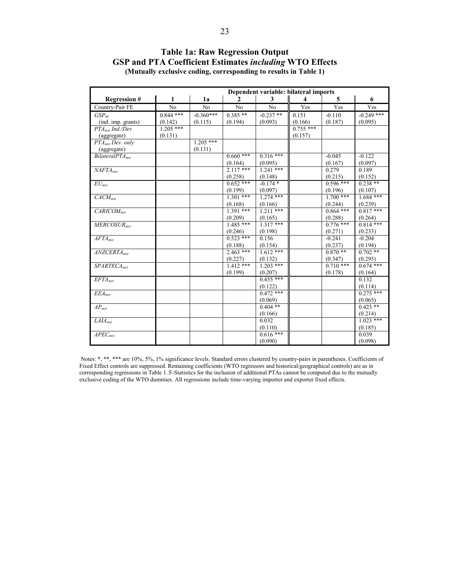|                              | Dependent variable: bilateral imports |                |                |             |                         |             |              |  |
|------------------------------|---------------------------------------|----------------|----------------|-------------|-------------------------|-------------|--------------|--|
| <b>Regression #</b>          | 1                                     | 1a             | $\mathbf{2}$   | 3           | $\overline{\mathbf{4}}$ | 5           | 6            |  |
| Country-Pair FE              | N <sub>0</sub>                        | N <sub>o</sub> | N <sub>o</sub> | No          | Yes                     | Yes         | Yes          |  |
| $GSP_{mt}$                   | $0.844$ ***                           | $-0.360***$    | $0.385**$      | $-0.237$ ** | 0.151                   | $-0.110$    | $-0.249$ *** |  |
| (ind. imp. grants)           | (0.142)                               | (0.115)        | (0.194)        | (0.093)     | (0.166)                 | (0.187)     | (0.095)      |  |
| PTA <sub>mut</sub> Ind./Dev  | $1.205***$                            |                |                |             | $0.755$ ***             |             |              |  |
| (aggregate)                  | (0.131)                               |                |                |             | (0.157)                 |             |              |  |
| PTA <sub>mxt</sub> Dev. only |                                       | $1.205$ ***    |                |             |                         |             |              |  |
| (aggregate)                  |                                       | (0.131)        |                |             |                         |             |              |  |
| BilateralPTA <sub>met</sub>  |                                       |                | $0.660$ ***    | $0.316***$  |                         | $-0.045$    | $-0.122$     |  |
|                              |                                       |                | (0.164)        | (0.095)     |                         | (0.167)     | (0.097)      |  |
| NAFTA <sub>mrt</sub>         |                                       |                | $2.117***$     | $1.241$ *** |                         | 0.279       | 0.189        |  |
|                              |                                       |                | (0.258)        | (0.148)     |                         | (0.215)     | (0.152)      |  |
| $EU_{mxt}$                   |                                       |                | $0.652$ ***    | $-0.174*$   |                         | $0.596$ *** | $0.238**$    |  |
|                              |                                       |                | (0.199)        | (0.097)     |                         | (0.196)     | (0.107)      |  |
| $CACM_{mrt}$                 |                                       |                | $1.301$ ***    | $1.274$ *** |                         | $1.700$ *** | $1.684$ ***  |  |
|                              |                                       |                | (0.168)        | (0.166)     |                         | (0.244)     | (0.239)      |  |
| $CARICOM_{mrt}$              |                                       |                | $1.391***$     | $1.211***$  |                         | $0.864$ *** | $0.817***$   |  |
|                              |                                       |                | (0.209)        | (0.165)     |                         | (0.288)     | (0.264)      |  |
| $MERCOSUR$ <sub>myt</sub>    |                                       |                | $1.485***$     | $1.317***$  |                         | $0.776$ *** | $0.814$ ***  |  |
|                              |                                       |                | (0.246)        | (0.198)     |                         | (0.271)     | (0.233)      |  |
| $AFTA_{mrt}$                 |                                       |                | $0.523$ ***    | 0.156       |                         | $-0.241$    | $-0.204$     |  |
|                              |                                       |                | (0.188)        | (0.154)     |                         | (0.237)     | (0.194)      |  |
| ANZCERTA <sub>myt</sub>      |                                       |                | $2.463$ ***    | $1.612***$  |                         | $0.870**$   | $0.702**$    |  |
|                              |                                       |                | (0.227)        | (0.132)     |                         | (0.347)     | (0.295)      |  |
| SPARTECA <sub>myt</sub>      |                                       |                | $1.412***$     | $1.203$ *** |                         | $0.710$ *** | $0.674$ ***  |  |
|                              |                                       |                | (0.199)        | (0.207)     |                         | (0.178)     | (0.164)      |  |
| $EFTA_{mrt}$                 |                                       |                |                | $0.455***$  |                         |             | 0.132        |  |
|                              |                                       |                |                | (0.122)     |                         |             | (0.114)      |  |
| $EEA_{mrt}$                  |                                       |                |                | $0.472$ *** |                         |             | $0.275$ ***  |  |
|                              |                                       |                |                | (0.069)     |                         |             | (0.065)      |  |
| $AP_{mxt}$                   |                                       |                |                | $0.404***$  |                         |             | $0.423$ **   |  |
|                              |                                       |                |                | (0.166)     |                         |             | (0.214)      |  |
| $LAIA_{mxt}$                 |                                       |                |                | 0.032       |                         |             | $1.023$ ***  |  |
|                              |                                       |                |                | (0.110)     |                         |             | (0.185)      |  |
| $APEC_{mrt}$                 |                                       |                |                | $0.616$ *** |                         |             | 0.039        |  |
|                              |                                       |                |                | (0.090)     |                         |             | (0.098)      |  |

#### **Table 1a: Raw Regression Output GSP and PTA Coefficient Estimates** *including* **WTO Effects (Mutually exclusive coding, corresponding to results in Table 1)**

Notes: \*, \*\*, \*\*\* are 10%, 5%, 1% significance levels. Standard errors clustered by country-pairs in parentheses. Coefficients of Fixed Effect controls are suppressed. Remaining coefficients (WTO regressors and historical/geographical controls) are as in corresponding regressions in Table 1. F-Statistics for the inclusion of additional PTAs cannot be computed due to the mutually exclusive coding of the WTO dummies. All regressions include time-varying importer and exporter fixed effects.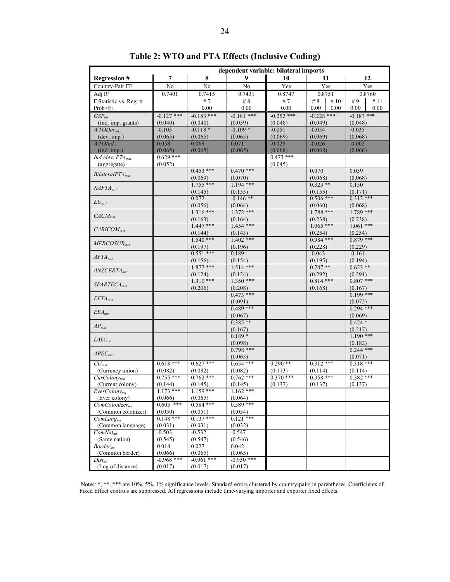|                                | dependent variable: bilateral imports |                         |                        |              |                        |                        |  |  |  |  |
|--------------------------------|---------------------------------------|-------------------------|------------------------|--------------|------------------------|------------------------|--|--|--|--|
| <b>Regression #</b>            | $\overline{7}$                        | 8                       | 9                      | 10           | 11                     | 12                     |  |  |  |  |
| Country-Pair FE                | No                                    | N <sub>0</sub>          | N <sub>0</sub>         | Yes          | Yes                    | Yes                    |  |  |  |  |
| Adj $R^2$                      | 0.7401                                | 0.7415                  | 0.7431                 | 0.8747       | 0.8751                 | 0.8760                 |  |  |  |  |
| F Statistic vs. Regr.#         |                                       | #7                      | # $8$                  | #7           | # $8$<br>#10           | #9<br>#11              |  |  |  |  |
| Prob>F:                        |                                       | 0.00                    | 0.00                   | 0.00         | 0.00<br>0.00           | 0.00<br>0.00           |  |  |  |  |
| GSP <sub>mt</sub>              | $-0.127$ ***                          | $-0.183$ ***            | $-0.181$ ***           | $-0.252$ *** | $-0.228$ ***           | $-0.187$ ***           |  |  |  |  |
| (ind. imp. grants)             | (0.040)                               | (0.040)                 | (0.039)                | (0.048)      | (0.049)                | (0.048)                |  |  |  |  |
| WTODev <sub>mt</sub>           | $-0.103$                              | $-0.118*$               | $-0.109*$              | $-0.051$     | $-0.054$               | $-0.035$               |  |  |  |  |
| (dev. imp.)                    | (0.065)                               | (0.065)                 | (0.065)                | (0.069)      | (0.069)                | (0.068)                |  |  |  |  |
| $WTOInd_{mt}$                  | 0.058                                 | 0.069                   | 0.071                  | $-0.028$     | $-0.026$               | $-0.002$               |  |  |  |  |
| (ind. imp.)                    | (0.065)                               | (0.065)                 | (0.065)                | (0.068)      | (0.068)                | (0.066)                |  |  |  |  |
| Ind./dev. PTA <sub>mxt</sub>   | $0.629$ ***                           |                         |                        | $0.473$ ***  |                        |                        |  |  |  |  |
| (aggregate)                    | (0.052)                               |                         |                        | (0.045)      |                        |                        |  |  |  |  |
| BilateralPTA <sub>mut</sub>    |                                       | $0.453$ ***             | $0.470***$             |              | 0.070                  | 0.059                  |  |  |  |  |
|                                |                                       | (0.069)<br>$1.755$ ***  | (0.070)<br>$1.194$ *** |              | (0.068)<br>$0.323$ **  | (0.068)<br>0.150       |  |  |  |  |
| $NAFTA_{mxt}$                  |                                       |                         |                        |              |                        |                        |  |  |  |  |
|                                |                                       | (0.145)<br>0.072        | (0.153)<br>$-0.146$ ** |              | (0.155)<br>$0.506$ *** | (0.171)<br>$0.312$ *** |  |  |  |  |
| $EU_{mxt}$                     |                                       | (0.056)                 | (0.064)                |              | (0.060)                | (0.068)                |  |  |  |  |
|                                |                                       | $1.316***$              | $1.372$ ***            |              | $1.788$ ***            | $1.789$ ***            |  |  |  |  |
| $CACM_{mxt}$                   |                                       | (0.163)                 | (0.164)                |              | (0.238)                | (0.238)                |  |  |  |  |
|                                |                                       | $1.447***$              | $1.454$ ***            |              | $1.065$ ***            | $1.061$ ***            |  |  |  |  |
| $CARICOM_{mrt}$                |                                       | (0.144)                 | (0.143)                |              | (0.254)                | (0.254)                |  |  |  |  |
|                                |                                       | $1.540$ ***             | $1.402$ ***            |              | $0.984$ ***            | $0.879***$             |  |  |  |  |
| $MERCOSUR_{mxt}$               |                                       | (0.197)                 | (0.196)                |              | (0.228)                | (0.229)                |  |  |  |  |
|                                |                                       | $0.551$ ***             | 0.189                  |              | $-0.043$               | $-0.161$               |  |  |  |  |
| $AFTA_{mxt}$                   |                                       | (0.156)                 | (0.154)                |              | (0.195)                | (0.194)                |  |  |  |  |
| $ANZCERTA_{mxt}$               |                                       | $1.877***$              | $1.514***$             |              | $0.747**$              | $0.623**$              |  |  |  |  |
|                                |                                       | (0.124)                 | (0.124)                |              | (0.292)                | (0.291)                |  |  |  |  |
| $SPARTECA_{mxt}$               |                                       | $1.310***$              | $1.350***$             |              | $0.814***$             | $0.807***$             |  |  |  |  |
|                                |                                       | (0.206)                 | (0.208)                |              | (0.168)                | (0.167)                |  |  |  |  |
| $EFTA_{mxt}$                   |                                       |                         | $0.473$ ***            |              |                        | $0.199***$             |  |  |  |  |
|                                |                                       |                         | (0.091)                |              |                        | (0.075)                |  |  |  |  |
| $EEA_{mxt}$                    |                                       |                         | $0.489$ ***            |              |                        | $0.294$ ***            |  |  |  |  |
|                                |                                       |                         | (0.067)<br>$0.385**$   |              |                        | (0.069)                |  |  |  |  |
| $AP_{mrt}$                     |                                       |                         |                        |              |                        | $0.424*$               |  |  |  |  |
|                                |                                       |                         | (0.167)<br>$0.189*$    |              |                        | (0.217)<br>$1.190$ *** |  |  |  |  |
| $LAIA_{mxt}$                   |                                       |                         | (0.098)                |              |                        | (0.182)                |  |  |  |  |
|                                |                                       |                         | $0.798$ ***            |              |                        | $0.244$ ***            |  |  |  |  |
| $APEC_{mxt}$                   |                                       |                         | (0.063)                |              |                        | (0.071)                |  |  |  |  |
| $CU_{mxt}$                     | $0.618***$                            | $0.627$ ***             | $0.654$ ***            | $0.290**$    | $0.312***$             | $0.318***$             |  |  |  |  |
| (Currency union)               | (0.082)                               | (0.082)                 | (0.082)                | (0.113)      | (0.114)                | (0.114)                |  |  |  |  |
| $CurColony_{mxt}$              | $0.755$ ***                           | $0.762$ ***             | $0.762$ ***            | $0.370$ ***  | $0.358***$             | $0.382$ ***            |  |  |  |  |
| (Current colony)               | (0.144)                               | (0.145)                 | (0.145)                | (0.137)      | (0.137)                | (0.137)                |  |  |  |  |
| $Every \textit{Colory}_{mx}$   | $1.173$ ***                           | $1.159$ ***             | $1.162***$             |              |                        |                        |  |  |  |  |
| (Ever colony)                  | (0.066)                               | (0.065)                 | (0.064)                |              |                        |                        |  |  |  |  |
| $ComColorizer_{mx}$            | $0.605$ ***                           | $0.584$ ***             | $0.589$ ***            |              |                        |                        |  |  |  |  |
| (Common colonizer)             | (0.050)                               | (0.051)                 | (0.054)                |              |                        |                        |  |  |  |  |
| $ComLang_{mx}$                 | $0.148***$                            | $0.137***$              | $0.121$ ***            |              |                        |                        |  |  |  |  |
| (Common language)              | (0.031)                               | (0.031)                 | (0.032)                |              |                        |                        |  |  |  |  |
| $ComNat_{mx}$                  | $-0.503$                              | $-0.532$                | $-0.547$               |              |                        |                        |  |  |  |  |
| (Same nation)                  | (0.545)                               | (0.547)                 | (0.546)                |              |                        |                        |  |  |  |  |
| Border <sub>mx</sub>           | 0.014<br>(0.066)                      | 0.027                   | 0.042<br>(0.065)       |              |                        |                        |  |  |  |  |
| (Common border)<br>$Dist_{mx}$ | $-0.968$ ***                          | (0.065)<br>$-0.961$ *** | $-0.930***$            |              |                        |                        |  |  |  |  |
| (Log of distance)              | (0.017)                               | (0.017)                 | (0.017)                |              |                        |                        |  |  |  |  |
|                                |                                       |                         |                        |              |                        |                        |  |  |  |  |

**Table 2: WTO and PTA Effects (Inclusive Coding)**

Notes: \*, \*\*, \*\*\* are 10%, 5%, 1% significance levels. Standard errors clustered by country-pairs in parentheses. Coefficients of Fixed Effect controls are suppressed. All regressions include time-varying importer and exporter fixed effects.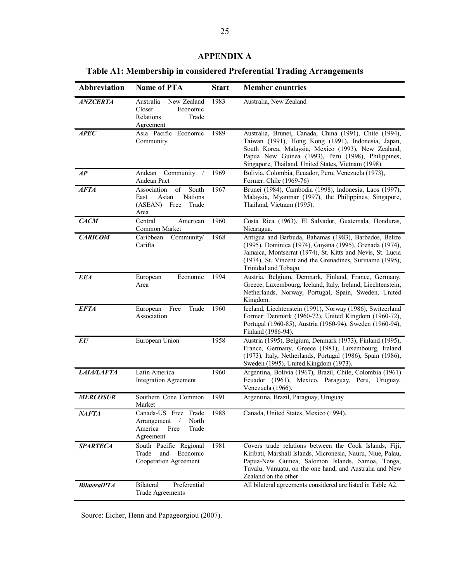#### **APPENDIX A**

**Table A1: Membership in considered Preferential Trading Arrangements** 

| <b>Abbreviation</b> | <b>Name of PTA</b>                                                                         | <b>Start</b> | <b>Member countries</b>                                                                                                                                                                                                                                                         |
|---------------------|--------------------------------------------------------------------------------------------|--------------|---------------------------------------------------------------------------------------------------------------------------------------------------------------------------------------------------------------------------------------------------------------------------------|
| <b>ANZCERTA</b>     | Australia - New Zealand<br>Closer<br>Economic<br>Relations<br>Trade<br>Agreement           | 1983         | Australia, New Zealand                                                                                                                                                                                                                                                          |
| <b>APEC</b>         | Asia Pacific Economic<br>Community                                                         | 1989         | Australia, Brunei, Canada, China (1991), Chile (1994),<br>Taiwan (1991), Hong Kong (1991), Indonesia, Japan,<br>South Korea, Malaysia, Mexico (1993), New Zealand,<br>Papua New Guinea (1993), Peru (1998), Philippines,<br>Singapore, Thailand, United States, Vietnam (1998). |
| AP                  | Andean<br>Community /<br>Andean Pact                                                       | 1969         | Bolivia, Colombia, Ecuador, Peru, Venezuela (1973),<br>Former: Chile (1969-76)                                                                                                                                                                                                  |
| <b>AFTA</b>         | of<br>South<br>Association<br>Nations<br>Asian<br>East<br>(ASEAN)<br>Free<br>Trade<br>Area | 1967         | Brunei (1984), Cambodia (1998), Indonesia, Laos (1997),<br>Malaysia, Myanmar (1997), the Philippines, Singapore,<br>Thailand, Vietnam (1995).                                                                                                                                   |
| <b>CACM</b>         | Central<br>American<br>Common Market                                                       | 1960         | Costa Rica (1963), El Salvador, Guatemala, Honduras,<br>Nicaragua.                                                                                                                                                                                                              |
| <b>CARICOM</b>      | Caribbean<br>Community/<br>Carifta                                                         | 1968         | Antigua and Barbuda, Bahamas (1983), Barbados, Belize<br>(1995), Dominica (1974), Guyana (1995), Grenada (1974),<br>Jamaica, Montserrat (1974), St. Kitts and Nevis, St. Lucia<br>(1974), St. Vincent and the Grenadines, Suriname (1995),<br>Trinidad and Tobago.              |
| <b>EEA</b>          | Economic<br>European<br>Area                                                               | 1994         | Austria, Belgium, Denmark, Finland, France, Germany,<br>Greece, Luxembourg, Iceland, Italy, Ireland, Liechtenstein,<br>Netherlands, Norway, Portugal, Spain, Sweden, United<br>Kingdom.                                                                                         |
| <b>EFTA</b>         | Free<br>Trade<br>European<br>Association                                                   | 1960         | Iceland, Liechtenstein (1991), Norway (1986), Switzerland<br>Former: Denmark (1960-72), United Kingdom (1960-72),<br>Portugal (1960-85), Austria (1960-94), Sweden (1960-94),<br>Finland (1986-94).                                                                             |
| EU                  | European Union                                                                             | 1958         | Austria (1995), Belgium, Denmark (1973), Finland (1995),<br>France, Germany, Greece (1981), Luxembourg, Ireland<br>(1973), Italy, Netherlands, Portugal (1986), Spain (1986),<br>Sweden (1995), United Kingdom (1973).                                                          |
| <b>LAIA/LAFTA</b>   | Latin America<br><b>Integration Agreement</b>                                              | 1960         | Argentina, Bolivia (1967), Brazil, Chile, Colombia (1961)<br>Ecuador (1961), Mexico, Paraguay, Peru, Uruguay,<br>Venezuela (1966).                                                                                                                                              |
| <b>MERCOSUR</b>     | Southern Cone Common<br>Market                                                             | 1991         | Argentina, Brazil, Paraguay, Uruguay                                                                                                                                                                                                                                            |
| <b>NAFTA</b>        | Canada-US Free Trade<br>Arrangement<br>North<br>America<br>Free<br>Trade<br>Agreement      | 1988         | Canada, United States, Mexico (1994).                                                                                                                                                                                                                                           |
| <b>SPARTECA</b>     | South Pacific Regional<br>Economic<br>Trade<br>and<br>Cooperation Agreement                | 1981         | Covers trade relations between the Cook Islands, Fiji,<br>Kiribati, Marshall Islands, Micronesia, Nauru, Niue, Palau,<br>Papua-New Guinea, Salomon Islands, Samoa, Tonga,<br>Tuvalu, Vanuatu, on the one hand, and Australia and New<br>Zealand on the other                    |
| <b>BilateralPTA</b> | Bilateral<br>Preferential<br><b>Trade Agreements</b>                                       |              | All bilateral agreements considered are listed in Table A2.                                                                                                                                                                                                                     |

Source: Eicher, Henn and Papageorgiou (2007).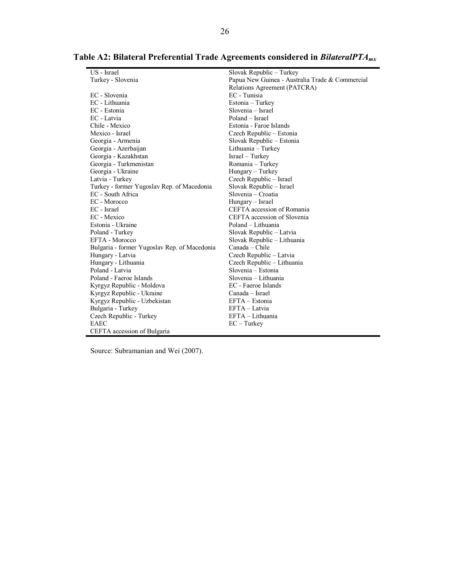| US - Israel                                  | Slovak Republic - Turkey                        |
|----------------------------------------------|-------------------------------------------------|
| Turkey - Slovenia                            | Papua New Guinea - Australia Trade & Commercial |
|                                              | Relations Agreement (PATCRA)                    |
| EC - Slovenia                                | EC - Tunisia                                    |
| EC - Lithuania                               | Estonia – Turkey                                |
| EC - Estonia                                 | Slovenia – Israel                               |
| EC - Latvia                                  | Poland – Israel                                 |
| Chile - Mexico                               | Estonia - Faroe Islands                         |
| Mexico - Israel                              | Czech Republic – Estonia                        |
| Georgia - Armenia                            | Slovak Republic - Estonia                       |
| Georgia - Azerbaijan                         | Lithuania - Turkey                              |
| Georgia - Kazakhstan                         | Israel – Turkey                                 |
| Georgia - Turkmenistan                       | Romania - Turkey                                |
| Georgia - Ukraine                            | Hungary – Turkey                                |
| Latvia - Turkey                              | Czech Republic – Israel                         |
| Turkey - former Yugoslav Rep. of Macedonia   | Slovak Republic – Israel                        |
| EC - South Africa                            | Slovenia – Croatia                              |
| EC - Morocco                                 | Hungary - Israel                                |
| EC - Israel                                  | CEFTA accession of Romania                      |
| EC - Mexico                                  | CEFTA accession of Slovenia                     |
| Estonia - Ukraine                            | Poland – Lithuania                              |
| Poland - Turkey                              | Slovak Republic – Latvia                        |
| EFTA - Morocco                               | Slovak Republic - Lithuania                     |
| Bulgaria - former Yugoslav Rep. of Macedonia | Canada – Chile                                  |
| Hungary - Latvia                             | Czech Republic – Latvia                         |
| Hungary - Lithuania                          | Czech Republic – Lithuania                      |
| Poland - Latvia                              | Slovenia - Estonia                              |
| Poland - Faeroe Islands                      | Slovenia – Lithuania                            |
| Kyrgyz Republic - Moldova                    | EC - Faeroe Islands                             |
| Kyrgyz Republic - Ukraine                    | Canada – Israel                                 |
| Kyrgyz Republic - Uzbekistan                 | $EFTA - Estonia$                                |
| Bulgaria - Turkey                            | EFTA - Latvia                                   |
| Czech Republic - Turkey                      | $EFTA-Lithuania$                                |
| EAEC                                         | $EC - Turkey$                                   |
| CEFTA accession of Bulgaria                  |                                                 |

### **Table A2: Bilateral Preferential Trade Agreements considered in** *BilateralPTAmx*

Source: Subramanian and Wei (2007).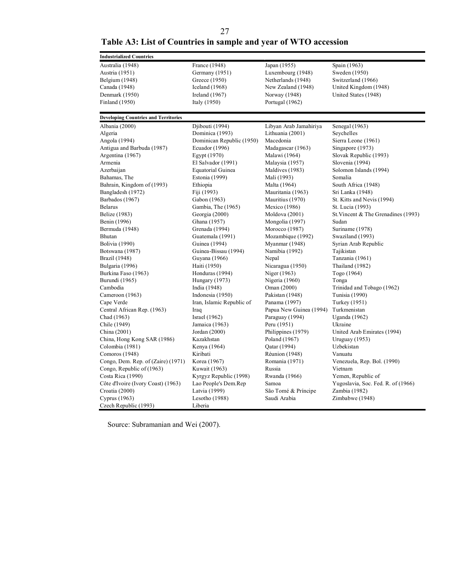27

## **Table A3: List of Countries in sample and year of WTO accession**

| <b>Industrialized Countries</b>             |                           |                         |                                     |
|---------------------------------------------|---------------------------|-------------------------|-------------------------------------|
| Australia (1948)                            | France (1948)             | Japan (1955)            | Spain (1963)                        |
| Austria (1951)                              | Germany (1951)            | Luxembourg (1948)       | Sweden (1950)                       |
| Belgium (1948)                              | Greece (1950)             | Netherlands (1948)      | Switzerland (1966)                  |
| Canada (1948)                               | Iceland $(1968)$          | New Zealand (1948)      | United Kingdom (1948)               |
| Denmark (1950)                              | Ireland $(1967)$          | Norway (1948)           | United States (1948)                |
| Finland (1950)                              | Italy (1950)              | Portugal (1962)         |                                     |
| <b>Developing Countries and Territories</b> |                           |                         |                                     |
| Albania (2000)                              | Djibouti (1994)           | Libyan Arab Jamahiriya  | Senegal (1963)                      |
| Algeria                                     | Dominica (1993)           | Lithuania (2001)        | Seychelles                          |
| Angola (1994)                               | Dominican Republic (1950) | Macedonia               | Sierra Leone (1961)                 |
| Antigua and Barbuda (1987)                  | Ecuador (1996)            | Madagascar (1963)       | Singapore (1973)                    |
| Argentina (1967)                            | Egypt (1970)              | Malawi (1964)           | Slovak Republic (1993)              |
| Armenia                                     | El Salvador (1991)        | Malaysia (1957)         | Slovenia (1994)                     |
| Azerbaijan                                  | Equatorial Guinea         | Maldives (1983)         | Solomon Islands (1994)              |
| Bahamas, The                                | Estonia (1999)            | Mali (1993)             | Somalia                             |
| Bahrain, Kingdom of (1993)                  | Ethiopia                  | Malta (1964)            | South Africa (1948)                 |
| Bangladesh (1972)                           | Fiji (1993)               | Mauritania (1963)       | Sri Lanka (1948)                    |
| Barbados (1967)                             | Gabon (1963)              | Mauritius (1970)        | St. Kitts and Nevis (1994)          |
| <b>Belarus</b>                              | Gambia, The (1965)        | Mexico (1986)           | St. Lucia (1993)                    |
| Belize (1983)                               | Georgia (2000)            | Moldova (2001)          | St. Vincent & The Grenadines (1993) |
| Benin (1996)                                | Ghana (1957)              | Mongolia (1997)         | Sudan                               |
| Bermuda (1948)                              | Grenada (1994)            | Morocco (1987)          | Suriname (1978)                     |
| Bhutan                                      | Guatemala (1991)          | Mozambique (1992)       | Swaziland (1993)                    |
| <b>Bolivia</b> (1990)                       | Guinea (1994)             | Myanmar (1948)          | Syrian Arab Republic                |
| Botswana (1987)                             | Guinea-Bissau (1994)      | Namibia (1992)          | Tajikistan                          |
| Brazil (1948)                               | Guyana (1966)             | Nepal                   | Tanzania (1961)                     |
| Bulgaria (1996)                             | Haiti (1950)              | Nicaragua (1950)        | Thailand (1982)                     |
| Burkina Faso (1963)                         | Honduras (1994)           | Niger (1963)            | Togo (1964)                         |
| Burundi (1965)                              | Hungary (1973)            | Nigeria (1960)          | Tonga                               |
| Cambodia                                    | India (1948)              | Oman (2000)             | Trinidad and Tobago (1962)          |
| Cameroon (1963)                             | Indonesia (1950)          | Pakistan (1948)         | Tunisia (1990)                      |
| Cape Verde                                  | Iran, Islamic Republic of | Panama (1997)           | Turkey (1951)                       |
| Central African Rep. (1963)                 | Iraq                      | Papua New Guinea (1994) | Turkmenistan                        |
| Chad (1963)                                 | <b>Israel</b> (1962)      | Paraguay (1994)         | Uganda (1962)                       |
| Chile (1949)                                | Jamaica (1963)            | Peru (1951)             | Ukraine                             |
| China (2001)                                | Jordan (2000)             | Philippines (1979)      | United Arab Emirates (1994)         |
| China, Hong Kong SAR (1986)                 | Kazakhstan                | Poland (1967)           | <b>Uruguay</b> (1953)               |
| Colombia (1981)                             | Kenya (1964)              | Qatar (1994)            | Uzbekistan                          |
| Comoros (1948)                              | Kiribati                  | <b>Réunion</b> (1948)   | Vanuatu                             |
| Congo, Dem. Rep. of (Zaire) (1971)          | Korea (1967)              | Romania (1971)          | Venezuela, Rep. Bol. (1990)         |
| Congo, Republic of (1963)                   | Kuwait (1963)             | Russia                  | Vietnam                             |
| Costa Rica (1990)                           | Kyrgyz Republic (1998)    | Rwanda (1966)           | Yemen, Republic of                  |
| Côte d'Ivoire (Ivory Coast) (1963)          | Lao People's Dem.Rep      | Samoa                   | Yugoslavia, Soc. Fed. R. of (1966)  |
| Croatia (2000)                              | Latvia (1999)             | São Tomé & Príncipe     | Zambia (1982)                       |
| Cyprus (1963)                               | Lesotho (1988)            | Saudi Arabia            | Zimbabwe (1948)                     |
| Czech Republic (1993)                       | Liberia                   |                         |                                     |

Source: Subramanian and Wei (2007).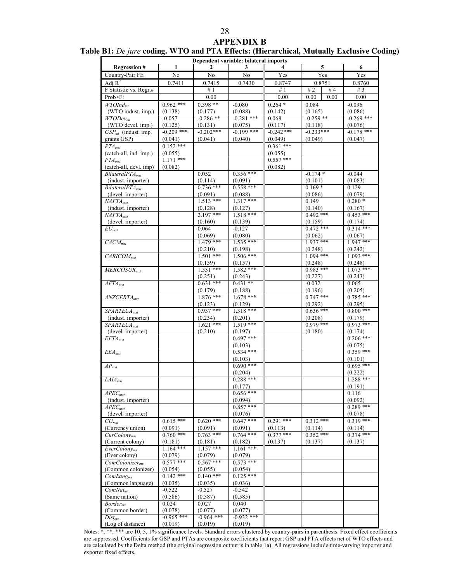#### **APPENDIX B**

|                                              |                        |                        | Dependent variable: bilateral imports |                        |                        |                        |
|----------------------------------------------|------------------------|------------------------|---------------------------------------|------------------------|------------------------|------------------------|
| <b>Regression#</b>                           | 1                      | 2                      | 3                                     |                        | 5                      | 6                      |
| Country-Pair FE                              | $\overline{No}$        | $\overline{No}$        | No                                    | Yes                    | Yes                    | Yes                    |
| Adj $R^2$                                    | 0.7411                 | 0.7415                 | 0.7430                                | 0.8747                 | 0.8751                 | 0.8760                 |
| F Statistic vs. Regr.#                       |                        | #1                     |                                       | #1                     | # $2$<br>#4            | # $3$                  |
| Prob>F:                                      |                        | 0.00                   |                                       | 0.00                   | 0.00<br>0.00           | 0.00                   |
| WTOInd <sub>mt</sub>                         | $0.962$ ***            | $0.398**$              | $-0.080$                              | $0.264*$               | 0.084                  | $-0.096$               |
| (WTO indust. imp.)                           | (0.138)                | (0.177)                | (0.088)                               | (0.142)                | (0.165)                | (0.086)                |
| WTODev <sub>mt</sub>                         | $-0.057$               | $-0.286$ **            | $-0.281$ ***                          | 0.068                  | $-0.259$ **            | $-0.269$ ***           |
| (WTO devel. imp.)                            | (0.125)                | (0.131)                | (0.075)                               | (0.117)                | (0.118)                | (0.076)                |
| $\overline{GSP_{mt}}$ (indust. imp.          | $-0.209$ ***           | $-0.202***$            | $-0.199$ ***                          | $-0.242***$            | $-0.233***$            | $-0.178$ ***           |
| grants GSP)                                  | (0.041)                | (0.041)                | (0.040)                               | (0.049)                | (0.049)                | (0.047)                |
| $PTA_{mxt}$                                  | $0.152***$             |                        |                                       | $0.361$ ***            |                        |                        |
| (catch-all, ind. imp.)<br>$PTA_{mxt}$        | (0.055)<br>$1.171$ *** |                        |                                       | (0.055)<br>$0.557***$  |                        |                        |
| (catch-all, devl. imp)                       | (0.082)                |                        |                                       | (0.082)                |                        |                        |
| $BilateralPTA_{mxt}$                         |                        | 0.052                  | $0.356***$                            |                        | $-0.174*$              | $-0.044$               |
| (indust. importer)                           |                        | (0.114)                | (0.091)                               |                        | (0.101)                | (0.083)                |
| $BilateralPTA_{mxt}$                         |                        | $0.736***$             | $0.558***$                            |                        | $0.169*$               | 0.129                  |
| (devel. importer)                            |                        | (0.091)                | (0.088)                               |                        | (0.086)                | (0.079)                |
| $NAFTA_{mxt}$                                |                        | $1.513***$             | $1.317***$                            |                        | 0.149                  | $0.280*$               |
| (indust. importer)                           |                        | (0.128)                | (0.127)                               |                        | (0.140)                | (0.167)                |
| $NAFTA_{mxt}$                                |                        | $2.197***$             | $1.518***$                            |                        | $0.492$ ***            | $0.453***$             |
| (devel. importer)                            |                        | (0.160)                | (0.139)                               |                        | (0.159)                | (0.174)                |
| $\overline{EU}_{mxt}$                        |                        | 0.064                  | $-0.127$                              |                        | $0.472$ ***            | $0.314***$             |
|                                              |                        | (0.069)                | (0.080)                               |                        | (0.062)                | (0.067)                |
| $CACM_{mxt}$                                 |                        | $1.479$ ***            | $1.535***$                            |                        | $1937$ ***             | $1.947***$             |
| $CARICOM_{mxt}$                              |                        | (0.210)<br>$1.501$ *** | (0.198)<br>$1.506***$                 |                        | (0.248)<br>$1.094$ *** | (0.242)<br>$1.093***$  |
|                                              |                        | (0.159)                | (0.157)                               |                        | (0.248)                | (0.248)                |
| $MERCOSUR$ <sub>mxt</sub>                    |                        | $1.531***$             | $1.582$ ***                           |                        | $0.983***$             | $1.073$ ***            |
|                                              |                        | (0.251)                | (0.243)                               |                        | (0.227)                | (0.243)                |
| $AFTA_{mxt}$                                 |                        | $0.631***$             | $0.431**$                             |                        | $-0.032$               | 0.065                  |
|                                              |                        | (0.179)                | (0.188)                               |                        | (0.196)                | (0.205)                |
| $ANZCERTA_{mxt}$                             |                        | $1.876$ ***            | $1.678$ ***                           |                        | $0.747$ ***            | $0.785***$             |
|                                              |                        | (0.123)                | (0.129)                               |                        | (0.292)                | (0.295)                |
| $SPARTECA$ <sub>mxt</sub>                    |                        | $0.937***$             | $1.318***$                            |                        | $0.636***$             | $0.800***$             |
| (indust. importer)                           |                        | (0.234)                | (0.201)                               |                        | (0.208)                | (0.179)                |
| $SPARTECA_{mxt}$                             |                        | $1.621$ ***            | $1.519***$                            |                        | $0.979***$             | $0.973$ ***            |
| (devel. importer)                            |                        | (0.210)                | (0.197)<br>$0.497***$                 |                        | (0.180)                | (0.174)<br>$0.206$ *** |
| $EFTA_{mxt}$                                 |                        |                        | (0.103)                               |                        |                        |                        |
| $\overline{EEA}_{mxt}$                       |                        |                        | $0.534$ ***                           |                        |                        | (0.075)<br>$0.359***$  |
|                                              |                        |                        | (0.103)                               |                        |                        | (0.101)                |
| $\overline{AP_{mxt}}$                        |                        |                        | $0.690***$                            |                        |                        | $0.695***$             |
|                                              |                        |                        | (0.204)                               |                        |                        | (0.222)                |
| $LAIA_{mxt}$                                 |                        |                        | $0.288***$                            |                        |                        | $1.288$ ***            |
|                                              |                        |                        | (0.177)                               |                        |                        | (0.191)                |
| $APEC_{mxt}$                                 |                        |                        | $0.656***$                            |                        |                        | 0.116                  |
| (indust. importer)                           |                        |                        | (0.094)                               |                        |                        | (0.092)                |
| $\overline{APEC}_{mxt}$                      |                        |                        | $0.857***$                            |                        |                        | $0.289***$             |
| (devel. importer)                            |                        |                        | (0.076)                               |                        |                        | (0.078)                |
| $CU_{mxt}$                                   | $0.615***$             | $0.620***$             | $0.647***$                            | $0.291***$             | $0.312***$             | $0.319***$             |
| (Currency union)                             | (0.091)<br>$0.760$ *** | (0.091)<br>$0.763$ *** | (0.091)<br>$0.764$ ***                | (0.113)<br>$0.377$ *** | (0.114)<br>$0.352$ *** | (0.114)<br>$0.374$ *** |
| CurColony <sub>mxt</sub><br>(Current colony) | (0.181)                | (0.181)                | (0.182)                               | (0.137)                | (0.137)                | (0.137)                |
| EverColony <sub>mx</sub>                     | $1.164$ ***            | $1.157***$             | $1.161$ ***                           |                        |                        |                        |
| (Ever colony)                                | (0.079)                | (0.079)                | (0.079)                               |                        |                        |                        |
| $ComColorizer_{mx}$                          | $0.577$ ***            | $0.567***$             | $0.573$ ***                           |                        |                        |                        |
| (Common colonizer)                           | (0.054)                | (0.055)                | (0.054)                               |                        |                        |                        |
| $ComLang_{mx}$                               | $0.142***$             | $0.140***$             | $0.125***$                            |                        |                        |                        |
| (Common language)                            | (0.035)                | (0.035)                | (0.036)                               |                        |                        |                        |
| $ComNat_{mx}$                                | $-0.522$               | $-0.527$               | $-0.542$                              |                        |                        |                        |
| (Same nation)                                | (0.586)                | (0.587)                | (0.585)                               |                        |                        |                        |
| $\textit{Border}_{\textit{mx}}$              | 0.024                  | 0.027                  | 0.040                                 |                        |                        |                        |
| (Common border)                              | (0.078)                | (0.077)                | (0.077)                               |                        |                        |                        |
| $Dist_{mx}$                                  | $-0.965$ ***           | $-0.964$ ***           | $-0.932***$                           |                        |                        |                        |
| (Log of distance)                            | (0.019)                | (0.019)                | (0.019)                               |                        |                        |                        |

#### **Table B1:** *De jure* **coding. WTO and PTA Effects: (Hierarchical, Mutually Exclusive Coding)**

Notes: \*, \*\*, \*\*\* are 10, 5, 1% significance levels. Standard errors clustered by country-pairs in parenthesis. Fixed effect coefficients are suppressed. Coefficients for GSP and PTAs are composite coefficients that report GSP and PTA effects net of WTO effects and are calculated by the Delta method (the original regression output is in table 1a). All regressions include time-varying importer and exporter fixed effects.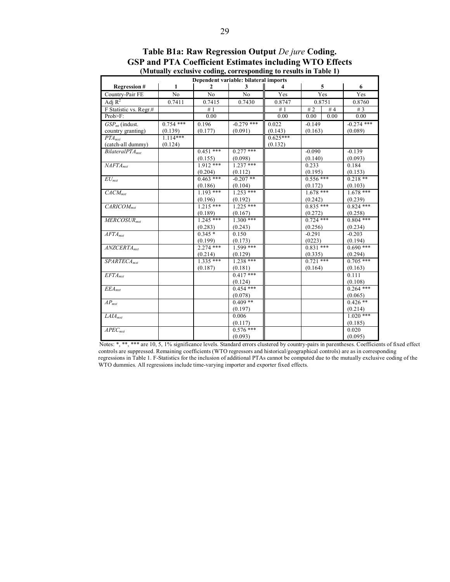| Dependent variable: bilateral imports |             |                |                |            |             |        |              |  |  |
|---------------------------------------|-------------|----------------|----------------|------------|-------------|--------|--------------|--|--|
| <b>Regression#</b>                    | 1           | 2              | 3              |            |             | 5      | 6            |  |  |
| Country-Pair FE                       | No          | N <sub>0</sub> | N <sub>0</sub> | Yes        | Yes         |        | Yes          |  |  |
| Adi $R^2$                             | 0.7411      | 0.7415         | 0.7430         | 0.8747     |             | 0.8751 | 0.8760       |  |  |
| F Statistic vs. Regr.#                |             | #1             |                | #1         | #2          | #4     | # $3$        |  |  |
| Prob>F:                               |             | 0.00           |                | 0.00       | 0.00        | 0.00   | 0.00         |  |  |
| $\overline{GSP}_{mt}$ (indust.        | $0.754$ *** | 0.196          | $-0.279$ ***   | 0.022      | $-0.149$    |        | $-0.274$ *** |  |  |
| country granting)                     | (0.139)     | (0.177)        | (0.091)        | (0.143)    | (0.163)     |        | (0.089)      |  |  |
| $PTA_{mrt}$                           | $1.114***$  |                |                | $0.625***$ |             |        |              |  |  |
| (catch-all dummy)                     | (0.124)     |                |                | (0.132)    |             |        |              |  |  |
| BilateralPTA <sub>mut</sub>           |             | $0.451$ ***    | $0.277$ ***    |            | $-0.090$    |        | $-0.139$     |  |  |
|                                       |             | (0.155)        | (0.098)        |            | (0.140)     |        | (0.093)      |  |  |
| NAFTA <sub>mt</sub>                   |             | $1.912$ ***    | $1.237$ ***    |            | 0.233       |        | 0.184        |  |  |
|                                       |             | (0.204)        | (0.112)        |            | (0.195)     |        | (0.153)      |  |  |
| $EU_{mxt}$                            |             | $0.463$ ***    | $-0.207$ **    |            | $0.556$ *** |        | $0.218$ **   |  |  |
|                                       |             | (0.186)        | (0.104)        |            | (0.172)     |        | (0.103)      |  |  |
| $CACM_{\text{mrt}}$                   |             | $1.193***$     | $1.253***$     |            | $1.678***$  |        | $1.678***$   |  |  |
|                                       |             | (0.196)        | (0.192)        |            | (0.242)     |        | (0.239)      |  |  |
| $\overline{CARICOM}_{mxt}$            |             | $1.215***$     | $1.225$ ***    |            | $0.835***$  |        | $0.824$ ***  |  |  |
|                                       |             | (0.189)        | (0.167)        |            | (0.272)     |        | (0.258)      |  |  |
| $MERCOSUR$ <sub>myt</sub>             |             | $1.245***$     | $1.300$ ***    |            | $0.724$ *** |        | $0.804$ ***  |  |  |
|                                       |             | (0.283)        | (0.243)        |            | (0.256)     |        | (0.234)      |  |  |
| $AFTA_{mxt}$                          |             | $0.345*$       | 0.150          |            | $-0.291$    |        | $-0.203$     |  |  |
|                                       |             | (0.199)        | (0.173)        |            | (0223)      |        | (0.194)      |  |  |
| $ANZCERTA_{mxt}$                      |             | $2.274$ ***    | $1.599$ ***    |            | $0.831***$  |        | $0.690***$   |  |  |
|                                       |             | (0.214)        | (0.129)        |            | (0.335)     |        | (0.294)      |  |  |
| $SPARTECA_{mrt}$                      |             | $1.335***$     | $1.238***$     |            | $0.721$ *** |        | $0.705$ ***  |  |  |
|                                       |             | (0.187)        | (0.181)        |            | (0.164)     |        | (0.163)      |  |  |
| $EFTA_{mrt}$                          |             |                | $0.417***$     |            |             |        | 0.111        |  |  |
|                                       |             |                | (0.124)        |            |             |        | (0.108)      |  |  |
| $\overline{EEA}_{mxt}$                |             |                | $0.454***$     |            |             |        | $0.264$ ***  |  |  |
|                                       |             |                | (0.078)        |            |             |        | (0.065)      |  |  |
| $\overline{AP_{mxt}}$                 |             |                | $0.409**$      |            |             |        | $0.426**$    |  |  |
|                                       |             |                | (0.197)        |            |             |        | (0.214)      |  |  |
| $\overline{LAI}$ Amxt                 |             |                | 0.006          |            |             |        | $1.020$ ***  |  |  |
|                                       |             |                | (0.117)        |            |             |        | (0.185)      |  |  |
| $\overline{APEC_{mxt}}$               |             |                | $0.576***$     |            |             |        | 0.020        |  |  |
|                                       |             |                | (0.093)        |            |             |        | (0.095)      |  |  |

**Table B1a: Raw Regression Output** *De jure* **Coding. GSP and PTA Coefficient Estimates including WTO Effects (Mutually exclusive coding, corresponding to results in Table 1)** 

Notes: \*, \*\*, \*\*\* are 10, 5, 1% significance levels. Standard errors clustered by country-pairs in parentheses. Coefficients of fixed effect controls are suppressed. Remaining coefficients (WTO regressors and historical/geographical controls) are as in corresponding regressions in Table 1. F-Statistics for the inclusion of additional PTAs cannot be computed due to the mutually exclusive coding of the WTO dummies. All regressions include time-varying importer and exporter fixed effects.